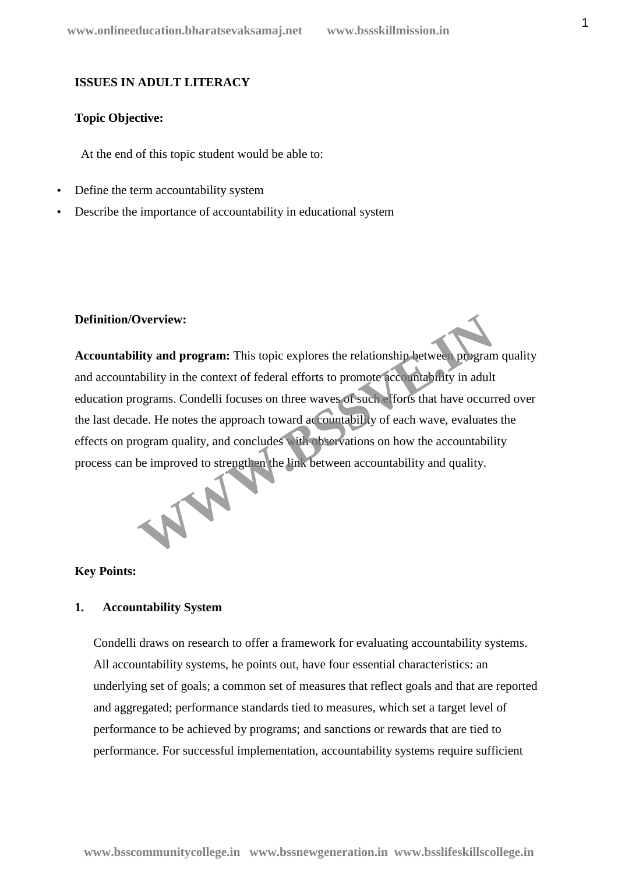# **ISSUES IN ADULT LITERACY**

## **Topic Objective:**

At the end of this topic student would be able to:

- Define the term accountability system
- Describe the importance of accountability in educational system

### **Definition/Overview:**

**Accountability and program:** This topic explores the relationship between program quality and accountability in the context of federal efforts to promote accountability in adult education programs. Condelli focuses on three waves of such efforts that have occurred over the last decade. He notes the approach toward accountability of each wave, evaluates the effects on program quality, and concludes with observations on how the accountability process can be improved to strengthen the link between accountability and quality. Deterview:<br> **CONTREGATE:** This topic explores the relationship between program<br>
ability in the context of federal efforts to promote accountability in adult<br>
ograms. Condelli focuses on three waves of such efforts that hav



### **Key Points:**

# **1. Accountability System**

Condelli draws on research to offer a framework for evaluating accountability systems. All accountability systems, he points out, have four essential characteristics: an underlying set of goals; a common set of measures that reflect goals and that are reported and aggregated; performance standards tied to measures, which set a target level of performance to be achieved by programs; and sanctions or rewards that are tied to performance. For successful implementation, accountability systems require sufficient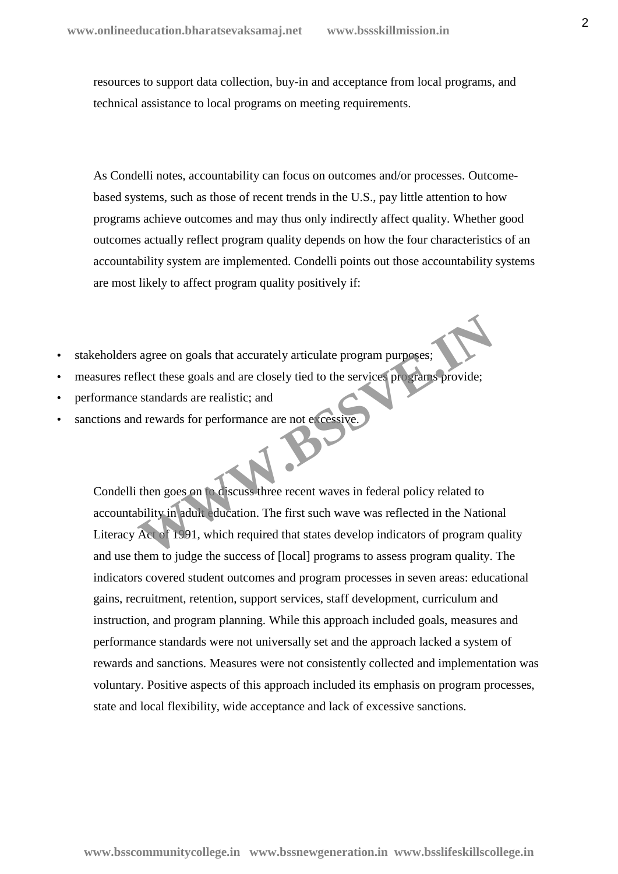resources to support data collection, buy-in and acceptance from local programs, and technical assistance to local programs on meeting requirements.

As Condelli notes, accountability can focus on outcomes and/or processes. Outcome based systems, such as those of recent trends in the U.S., pay little attention to how programs achieve outcomes and may thus only indirectly affect quality. Whether good outcomes actually reflect program quality depends on how the four characteristics of an accountability system are implemented. Condelli points out those accountability systems are most likely to affect program quality positively if:

- stakeholders agree on goals that accurately articulate program purposes;
- measures reflect these goals and are closely tied to the services programs provide;
- performance standards are realistic; and
- sanctions and rewards for performance are not excessive.

Condelli then goes on to discuss three recent waves in federal policy related to accountability in adult education. The first such wave was reflected in the National Literacy Act of 1991, which required that states develop indicators of program quality and use them to judge the success of [local] programs to assess program quality. The indicators covered student outcomes and program processes in seven areas: educational gains, recruitment, retention, support services, staff development, curriculum and instruction, and program planning. While this approach included goals, measures and performance standards were not universally set and the approach lacked a system of rewards and sanctions. Measures were not consistently collected and implementation was voluntary. Positive aspects of this approach included its emphasis on program processes, state and local flexibility, wide acceptance and lack of excessive sanctions. agree on goals that accurately articulate program purposes;<br>
lect these goals and are closely tied to the services programs provide;<br>
standards are realistic; and<br>
d rewards for performance are not excessive.<br>
then goes on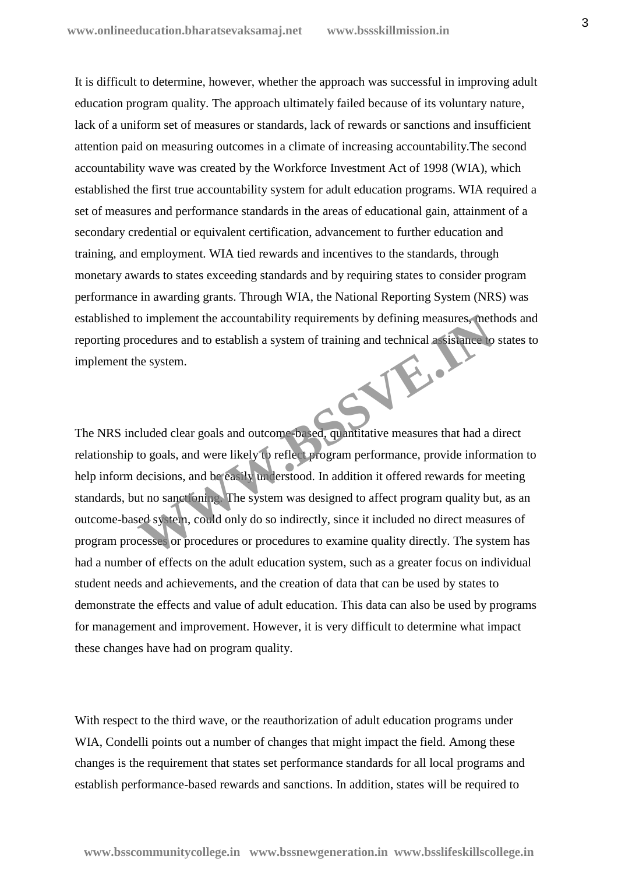It is difficult to determine, however, whether the approach was successful in improving adult education program quality. The approach ultimately failed because of its voluntary nature, lack of a uniform set of measures or standards, lack of rewards or sanctions and insufficient attention paid on measuring outcomes in a climate of increasing accountability.The second accountability wave was created by the Workforce Investment Act of 1998 (WIA), which established the first true accountability system for adult education programs. WIA required a set of measures and performance standards in the areas of educational gain, attainment of a secondary credential or equivalent certification, advancement to further education and training, and employment. WIA tied rewards and incentives to the standards, through monetary awards to states exceeding standards and by requiring states to consider program performance in awarding grants. Through WIA, the National Reporting System (NRS) was established to implement the accountability requirements by defining measures, methods and reporting procedures and to establish a system of training and technical assistance to states to implement the system. W.B.J

The NRS included clear goals and outcome-based, quantitative measures that had a direct relationship to goals, and were likely to reflect program performance, provide information to help inform decisions, and be easily understood. In addition it offered rewards for meeting standards, but no sanctioning. The system was designed to affect program quality but, as an outcome-based system, could only do so indirectly, since it included no direct measures of program processes or procedures or procedures to examine quality directly. The system has had a number of effects on the adult education system, such as a greater focus on individual student needs and achievements, and the creation of data that can be used by states to demonstrate the effects and value of adult education. This data can also be used by programs for management and improvement. However, it is very difficult to determine what impact these changes have had on program quality.

With respect to the third wave, or the reauthorization of adult education programs under WIA, Condelli points out a number of changes that might impact the field. Among these changes is the requirement that states set performance standards for all local programs and establish performance-based rewards and sanctions. In addition, states will be required to

3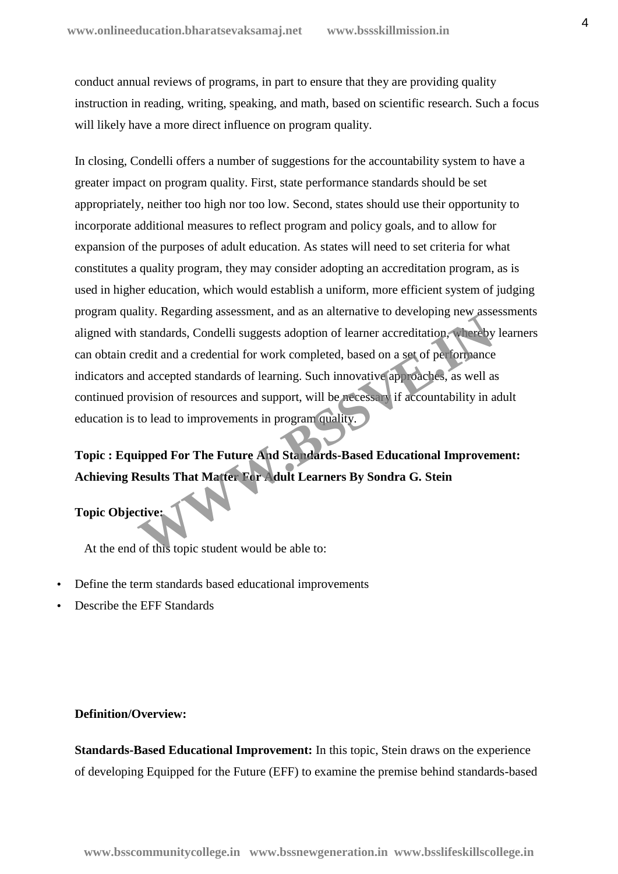conduct annual reviews of programs, in part to ensure that they are providing quality instruction in reading, writing, speaking, and math, based on scientific research. Such a focus will likely have a more direct influence on program quality.

In closing, Condelli offers a number of suggestions for the accountability system to have a greater impact on program quality. First, state performance standards should be set appropriately, neither too high nor too low. Second, states should use their opportunity to incorporate additional measures to reflect program and policy goals, and to allow for expansion of the purposes of adult education. As states will need to set criteria for what constitutes a quality program, they may consider adopting an accreditation program, as is used in higher education, which would establish a uniform, more efficient system of judging program quality. Regarding assessment, and as an alternative to developing new assessments aligned with standards, Condelli suggests adoption of learner accreditation, whereby learners can obtain credit and a credential for work completed, based on a set of performance indicators and accepted standards of learning. Such innovative approaches, as well as continued provision of resources and support, will be necessary if accountability in adult education is to lead to improvements in program quality. Inty: Regarantly assessment, and as an antennance to developing new assessment, and as an antennance to developing new assessment and a credential for work completed, based on a set of performance and accepted standards of

**Topic : Equipped For The Future And Standards-Based Educational Improvement: Achieving Results That Matter For Adult Learners By Sondra G. Stein**

# **Topic Objective:**

At the end of this topic student would be able to:

- Define the term standards based educational improvements
- Describe the EFF Standards

## **Definition/Overview:**

**Standards-Based Educational Improvement:** In this topic, Stein draws on the experience of developing Equipped for the Future (EFF) to examine the premise behind standards-based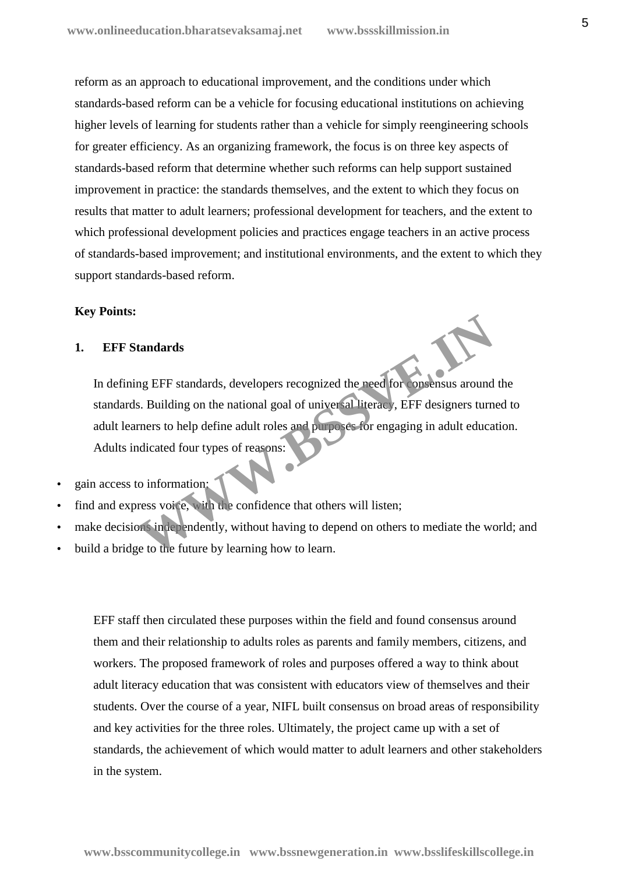reform as an approach to educational improvement, and the conditions under which standards-based reform can be a vehicle for focusing educational institutions on achieving higher levels of learning for students rather than a vehicle for simply reengineering schools for greater efficiency. As an organizing framework, the focus is on three key aspects of standards-based reform that determine whether such reforms can help support sustained improvement in practice: the standards themselves, and the extent to which they focus on results that matter to adult learners; professional development for teachers, and the extent to which professional development policies and practices engage teachers in an active process of standards-based improvement; and institutional environments, and the extent to which they support standards-based reform.

### **Key Points:**

# **1. EFF Standards**

In defining EFF standards, developers recognized the need for consensus around the standards. Building on the national goal of universal literacy, EFF designers turned to adult learners to help define adult roles and purposes for engaging in adult education. Adults indicated four types of reasons: tandards<br>
In EFF standards, developers recognized the need for **onsensus** around<br>
S. Building on the national goal of universal literacy, EFF designers turn<br>
rners to help define adult roles and purposes for engaging in ad

- gain access to information;
- find and express voice, with the confidence that others will listen;
- make decisions independently, without having to depend on others to mediate the world; and
- build a bridge to the future by learning how to learn.

EFF staff then circulated these purposes within the field and found consensus around them and their relationship to adults roles as parents and family members, citizens, and workers. The proposed framework of roles and purposes offered a way to think about adult literacy education that was consistent with educators view of themselves and their students. Over the course of a year, NIFL built consensus on broad areas of responsibility and key activities for the three roles. Ultimately, the project came up with a set of standards, the achievement of which would matter to adult learners and other stakeholders in the system.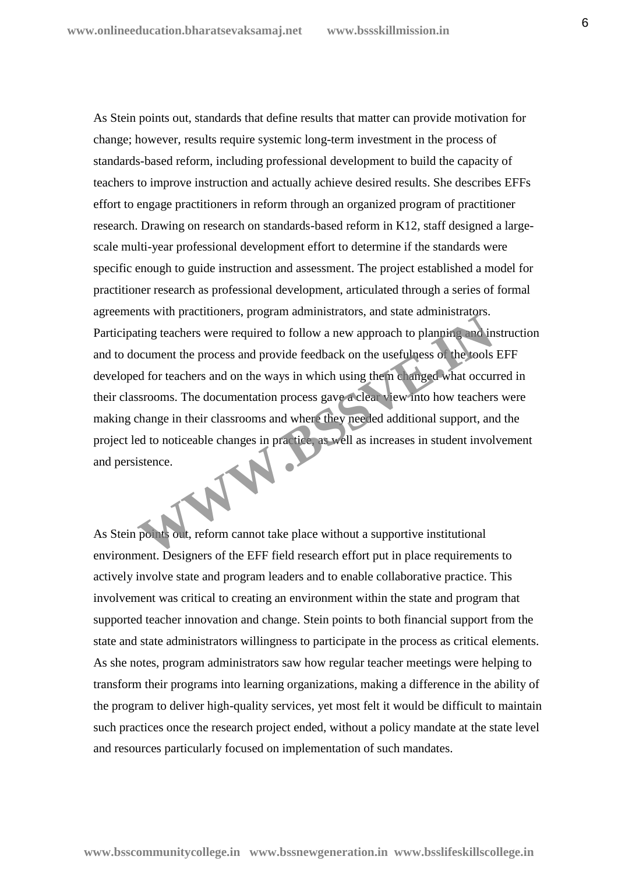As Stein points out, standards that define results that matter can provide motivation for change; however, results require systemic long-term investment in the process of standards-based reform, including professional development to build the capacity of teachers to improve instruction and actually achieve desired results. She describes EFFs effort to engage practitioners in reform through an organized program of practitioner research. Drawing on research on standards-based reform in K12, staff designed a large scale multi-year professional development effort to determine if the standards were specific enough to guide instruction and assessment. The project established a model for practitioner research as professional development, articulated through a series of formal agreements with practitioners, program administrators, and state administrators. Participating teachers were required to follow a new approach to planning and instruction and to document the process and provide feedback on the usefulness of the tools EFF developed for teachers and on the ways in which using them changed what occurred in their classrooms. The documentation process gave a clear view into how teachers were making change in their classrooms and where they needed additional support, and the project led to noticeable changes in practice, as well as increases in student involvement and persistence. The main precisioners, program animisations, and state daministicity.<br>
Which precises were required to follow a new approach to planning and in<br>
Decument the process and provide feedback on the usefulness of the tools<br>
d f

As Stein points out, reform cannot take place without a supportive institutional environment. Designers of the EFF field research effort put in place requirements to actively involve state and program leaders and to enable collaborative practice. This involvement was critical to creating an environment within the state and program that supported teacher innovation and change. Stein points to both financial support from the state and state administrators willingness to participate in the process as critical elements. As she notes, program administrators saw how regular teacher meetings were helping to transform their programs into learning organizations, making a difference in the ability of the program to deliver high-quality services, yet most felt it would be difficult to maintain such practices once the research project ended, without a policy mandate at the state level and resources particularly focused on implementation of such mandates.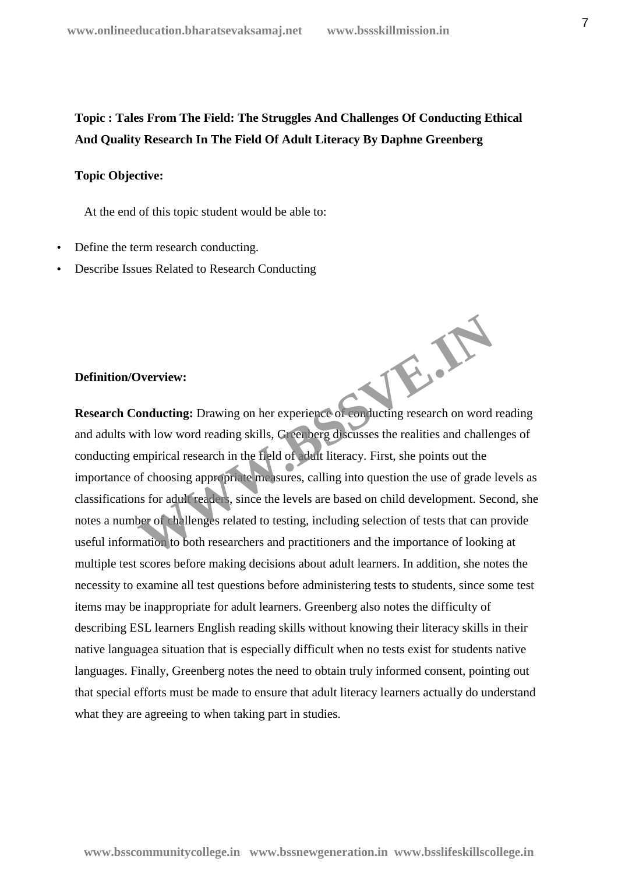# **Topic : Tales From The Field: The Struggles And Challenges Of Conducting Ethical And Quality Research In The Field Of Adult Literacy By Daphne Greenberg**

# **Topic Objective:**

At the end of this topic student would be able to:

- Define the term research conducting.
- Describe Issues Related to Research Conducting

# **Definition/Overview:**

**Research Conducting:** Drawing on her experience of conducting research on word reading and adults with low word reading skills, Greenberg discusses the realities and challenges of conducting empirical research in the field of adult literacy. First, she points out the importance of choosing appropriate measures, calling into question the use of grade levels as classifications for adult readers, since the levels are based on child development. Second, she notes a number of challenges related to testing, including selection of tests that can provide useful information to both researchers and practitioners and the importance of looking at multiple test scores before making decisions about adult learners. In addition, she notes the necessity to examine all test questions before administering tests to students, since some test items may be inappropriate for adult learners. Greenberg also notes the difficulty of describing ESL learners English reading skills without knowing their literacy skills in their native languagea situation that is especially difficult when no tests exist for students native languages. Finally, Greenberg notes the need to obtain truly informed consent, pointing out that special efforts must be made to ensure that adult literacy learners actually do understand what they are agreeing to when taking part in studies. W.B.W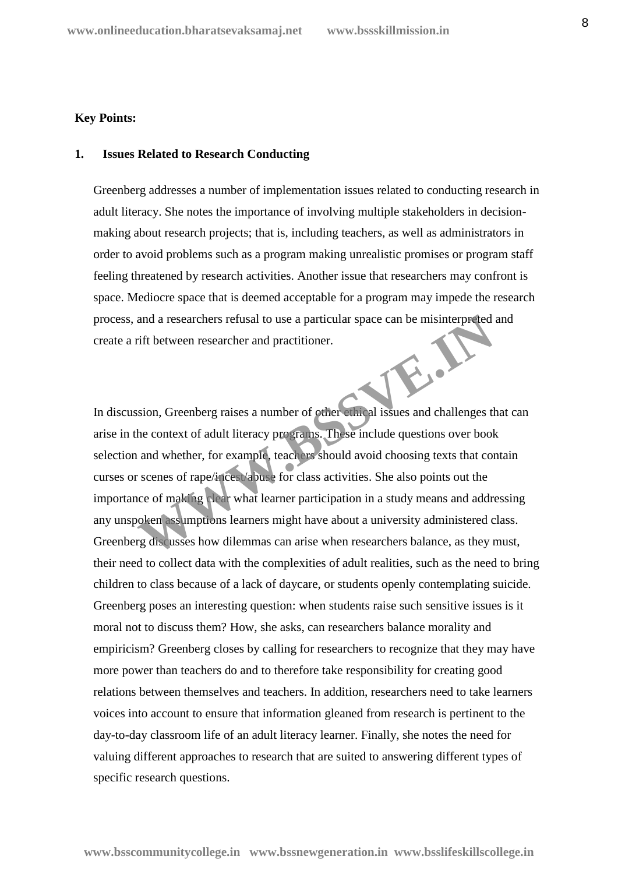### **Key Points:**

# **1. Issues Related to Research Conducting**

Greenberg addresses a number of implementation issues related to conducting research in adult literacy. She notes the importance of involving multiple stakeholders in decision making about research projects; that is, including teachers, as well as administrators in order to avoid problems such as a program making unrealistic promises or program staff feeling threatened by research activities. Another issue that researchers may confront is space. Mediocre space that is deemed acceptable for a program may impede the research process, and a researchers refusal to use a particular space can be misinterpreted and create a rift between researcher and practitioner.

In discussion, Greenberg raises a number of other ethical issues and challenges that can arise in the context of adult literacy programs. These include questions over book selection and whether, for example, teachers should avoid choosing texts that contain curses or scenes of rape/incest/abuse for class activities. She also points out the importance of making clear what learner participation in a study means and addressing any unspoken assumptions learners might have about a university administered class. Greenberg discusses how dilemmas can arise when researchers balance, as they must, their need to collect data with the complexities of adult realities, such as the need to bring children to class because of a lack of daycare, or students openly contemplating suicide. Greenberg poses an interesting question: when students raise such sensitive issues is it moral not to discuss them? How, she asks, can researchers balance morality and empiricism? Greenberg closes by calling for researchers to recognize that they may have more power than teachers do and to therefore take responsibility for creating good relations between themselves and teachers. In addition, researchers need to take learners voices into account to ensure that information gleaned from research is pertinent to the day-to-day classroom life of an adult literacy learner. Finally, she notes the need for valuing different approaches to research that are suited to answering different types of specific research questions. and a researchers refusal to use a particular space can be misinterpreted<br>rift between researcher and practitioner.<br>Sision, Greenberg raises a number of other ethical issues and challenges the<br>context of adult literacy pro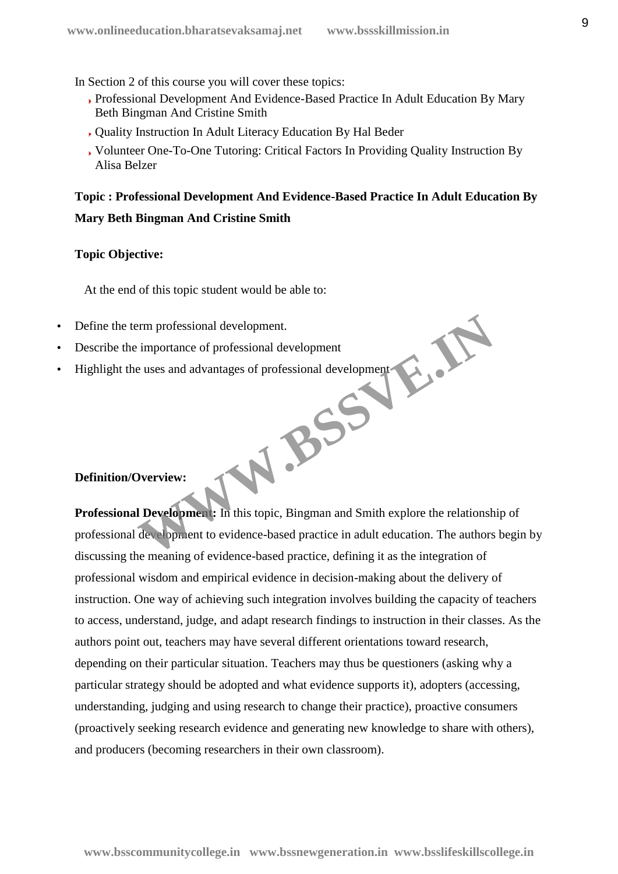In Section 2 of this course you will cover these topics:

- Professional Development And Evidence-Based Practice In Adult Education By Mary Beth Bingman And Cristine Smith
- Quality Instruction In Adult Literacy Education By Hal Beder
- Volunteer One-To-One Tutoring: Critical Factors In Providing Quality Instruction By Alisa Belzer

# **Topic : Professional Development And Evidence-Based Practice In Adult Education By Mary Beth Bingman And Cristine Smith**

# **Topic Objective:**

At the end of this topic student would be able to:

- Define the term professional development.
- Describe the importance of professional development
- Highlight the uses and advantages of professional development

# **Definition/Overview:**

Professional Developmen:<br> **Professional Developmen:**<br>
In this topic, Bingman and Smith explore the relationship of professional development to evidence-based practice in adult education. The authors begin by discussing the meaning of evidence-based practice, defining it as the integration of professional wisdom and empirical evidence in decision-making about the delivery of instruction. One way of achieving such integration involves building the capacity of teachers to access, understand, judge, and adapt research findings to instruction in their classes. As the authors point out, teachers may have several different orientations toward research, depending on their particular situation. Teachers may thus be questioners (asking why a particular strategy should be adopted and what evidence supports it), adopters (accessing, understanding, judging and using research to change their practice), proactive consumers (proactively seeking research evidence and generating new knowledge to share with others), and producers (becoming researchers in their own classroom). Prim professional development.<br>
E uses and advantages of professional development<br>
University of professional development<br>
University of professional development<br>
University of professional and Smith explore the relationsh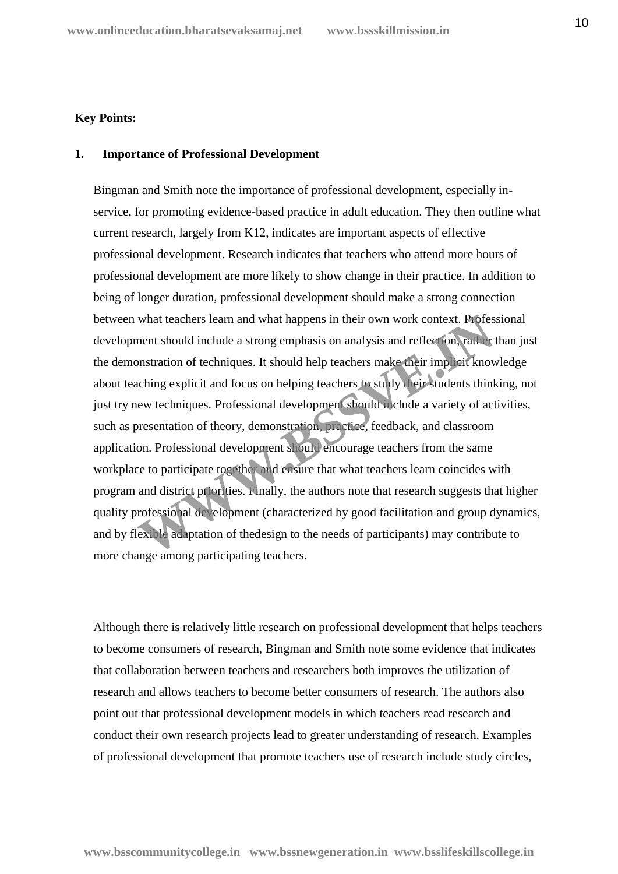### **Key Points:**

## **1. Importance of Professional Development**

Bingman and Smith note the importance of professional development, especially in service, for promoting evidence-based practice in adult education. They then outline what current research, largely from K12, indicates are important aspects of effective professional development. Research indicates that teachers who attend more hours of professional development are more likely to show change in their practice. In addition to being of longer duration, professional development should make a strong connection between what teachers learn and what happens in their own work context. Professional development should include a strong emphasis on analysis and reflection, rather than just the demonstration of techniques. It should help teachers make their implicit knowledge about teaching explicit and focus on helping teachers to study their students thinking, not just try new techniques. Professional development should include a variety of activities, such as presentation of theory, demonstration, practice, feedback, and classroom application. Professional development should encourage teachers from the same workplace to participate together and ensure that what teachers learn coincides with program and district priorities. Finally, the authors note that research suggests that higher quality professional development (characterized by good facilitation and group dynamics, and by flexible adaptation of thedesign to the needs of participants) may contribute to more change among participating teachers. what teachers learn and what happens in their own work context. Profess<br>ment should include a strong emphasis on analysis and reflection, rather<br>mstration of techniques. It should help teachers make their implicit know<br>chi

Although there is relatively little research on professional development that helps teachers to become consumers of research, Bingman and Smith note some evidence that indicates that collaboration between teachers and researchers both improves the utilization of research and allows teachers to become better consumers of research. The authors also point out that professional development models in which teachers read research and conduct their own research projects lead to greater understanding of research. Examples of professional development that promote teachers use of research include study circles,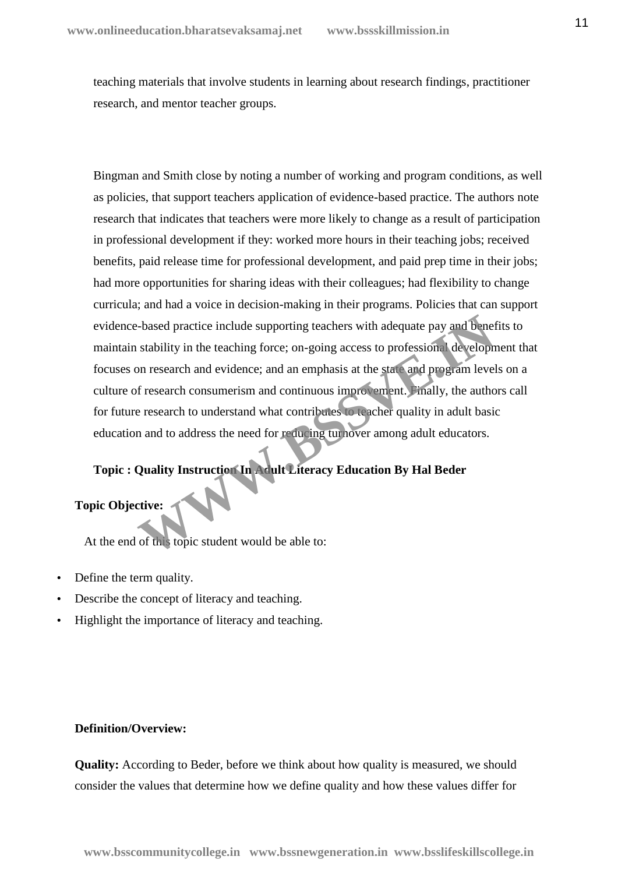teaching materials that involve students in learning about research findings, practitioner research, and mentor teacher groups.

Bingman and Smith close by noting a number of working and program conditions, as well as policies, that support teachers application of evidence-based practice. The authors note research that indicates that teachers were more likely to change as a result of participation in professional development if they: worked more hours in their teaching jobs; received benefits, paid release time for professional development, and paid prep time in their jobs; had more opportunities for sharing ideas with their colleagues; had flexibility to change curricula; and had a voice in decision-making in their programs. Policies that can support evidence-based practice include supporting teachers with adequate pay and benefits to maintain stability in the teaching force; on-going access to professional development that focuses on research and evidence; and an emphasis at the state and program levels on a culture of research consumerism and continuous improvement. Finally, the authors call for future research to understand what contributes to teacher quality in adult basic education and to address the need for reducing turnover among adult educators. -based practice include supporting teachers with adequate pay and beneficiability in the teaching force; on-going access to professional development search and evidence; and an emphasis at the state and program lever of re

# **Topic : Quality Instruction In Adult Literacy Education By Hal Beder**

# **Topic Objective:**

At the end of this topic student would be able to:

- Define the term quality.
- Describe the concept of literacy and teaching.
- Highlight the importance of literacy and teaching.

### **Definition/Overview:**

**Quality:** According to Beder, before we think about how quality is measured, we should consider the values that determine how we define quality and how these values differ for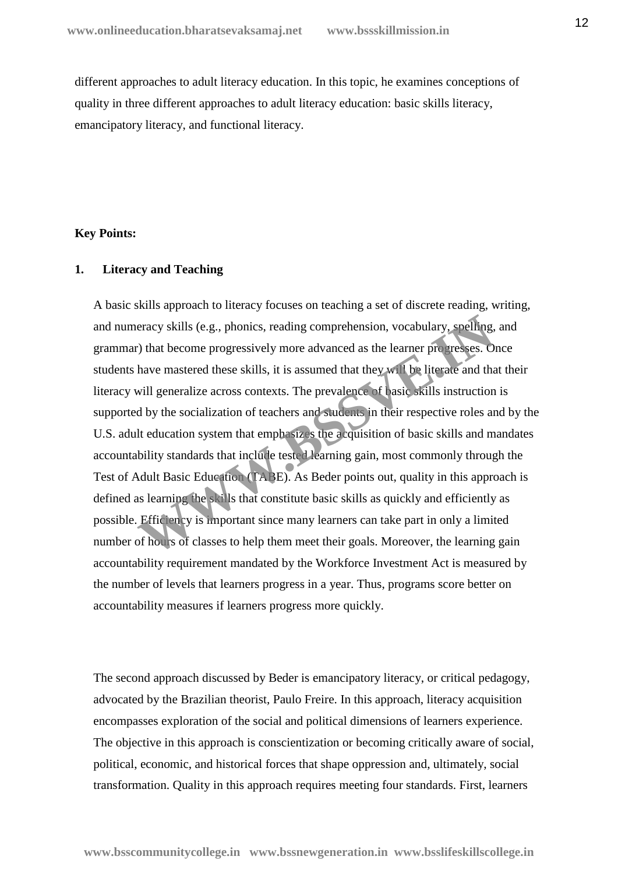different approaches to adult literacy education. In this topic, he examines conceptions of quality in three different approaches to adult literacy education: basic skills literacy, emancipatory literacy, and functional literacy.

### **Key Points:**

# **1. Literacy and Teaching**

A basic skills approach to literacy focuses on teaching a set of discrete reading, writing, and numeracy skills (e.g., phonics, reading comprehension, vocabulary, spelling, and grammar) that become progressively more advanced as the learner progresses. Once students have mastered these skills, it is assumed that they will be literate and that their literacy will generalize across contexts. The prevalence of basic skills instruction is supported by the socialization of teachers and students in their respective roles and by the U.S. adult education system that emphasizes the acquisition of basic skills and mandates accountability standards that include tested learning gain, most commonly through the Test of Adult Basic Education (TABE). As Beder points out, quality in this approach is defined as learning the skills that constitute basic skills as quickly and efficiently as possible. Efficiency is important since many learners can take part in only a limited number of hours of classes to help them meet their goals. Moreover, the learning gain accountability requirement mandated by the Workforce Investment Act is measured by the number of levels that learners progress in a year. Thus, programs score better on accountability measures if learners progress more quickly. eracy skills (e.g., phonics, reading comprehension, vocabulary, spelling, c) that become progressively more advanced as the learner progresses. O have mastered these skills, it is assumed that they will be literate and tha

The second approach discussed by Beder is emancipatory literacy, or critical pedagogy, advocated by the Brazilian theorist, Paulo Freire. In this approach, literacy acquisition encompasses exploration of the social and political dimensions of learners experience. The objective in this approach is conscientization or becoming critically aware of social, political, economic, and historical forces that shape oppression and, ultimately, social transformation. Quality in this approach requires meeting four standards. First, learners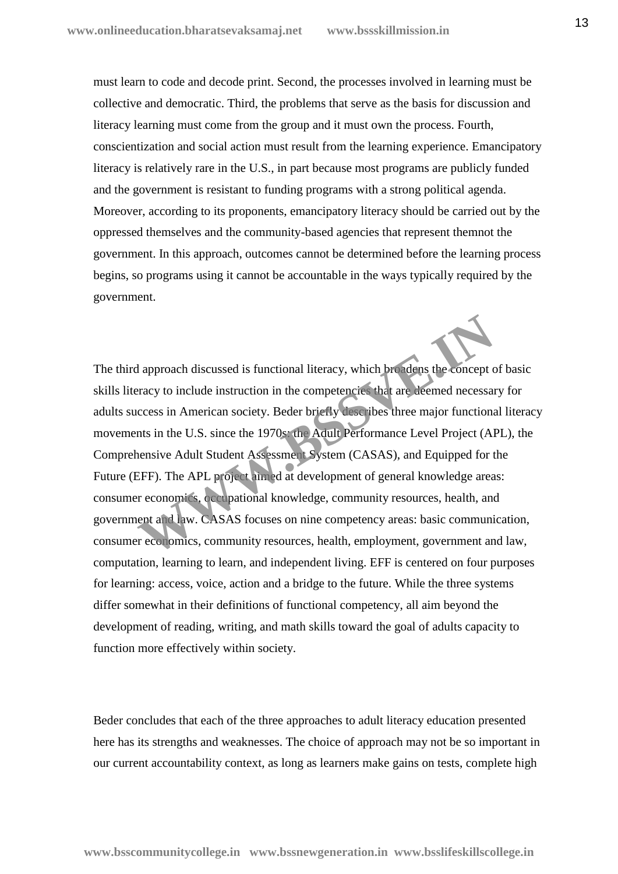must learn to code and decode print. Second, the processes involved in learning must be collective and democratic. Third, the problems that serve as the basis for discussion and literacy learning must come from the group and it must own the process. Fourth, conscientization and social action must result from the learning experience. Emancipatory literacy is relatively rare in the U.S., in part because most programs are publicly funded and the government is resistant to funding programs with a strong political agenda. Moreover, according to its proponents, emancipatory literacy should be carried out by the oppressed themselves and the community-based agencies that represent themnot the government. In this approach, outcomes cannot be determined before the learning process begins, so programs using it cannot be accountable in the ways typically required by the government.

The third approach discussed is functional literacy, which broadens the concept of basic skills literacy to include instruction in the competencies that are deemed necessary for adults success in American society. Beder briefly describes three major functional literacy movements in the U.S. since the 1970s: the Adult Performance Level Project (APL), the Comprehensive Adult Student Assessment System (CASAS), and Equipped for the Future (EFF). The APL project aimed at development of general knowledge areas: consumer economics, occupational knowledge, community resources, health, and government and law. CASAS focuses on nine competency areas: basic communication, consumer economics, community resources, health, employment, government and law, computation, learning to learn, and independent living. EFF is centered on four purposes for learning: access, voice, action and a bridge to the future. While the three systems differ somewhat in their definitions of functional competency, all aim beyond the development of reading, writing, and math skills toward the goal of adults capacity to function more effectively within society. deproach discussed is functional literacy, which be adens the concept cracy to include instruction in the competencies that are deemed necessar<br>ccess in American society. Beder briefly describes three major functions<br>nts i

Beder concludes that each of the three approaches to adult literacy education presented here has its strengths and weaknesses. The choice of approach may not be so important in our current accountability context, as long as learners make gains on tests, complete high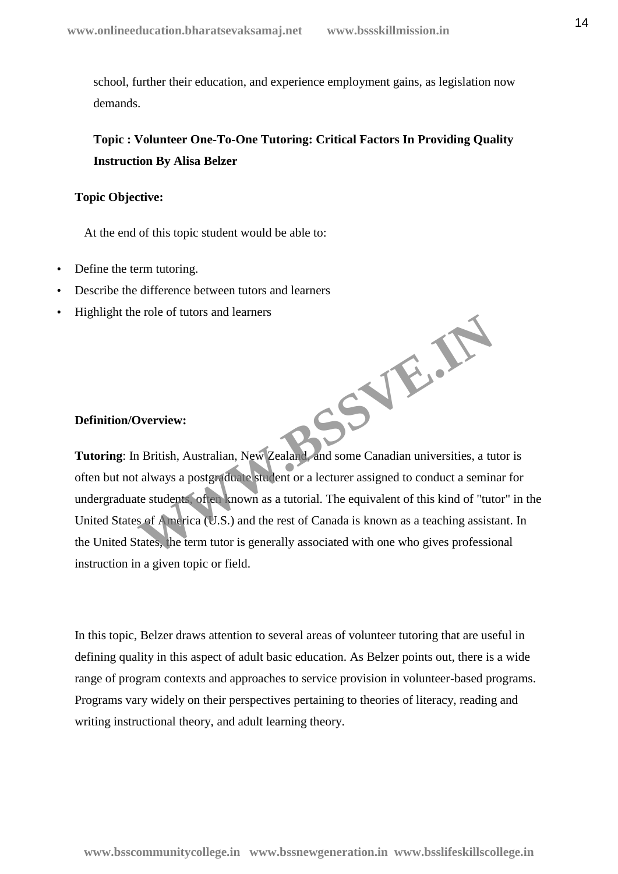school, further their education, and experience employment gains, as legislation now demands.

# **Topic : Volunteer One-To-One Tutoring: Critical Factors In Providing Quality Instruction By Alisa Belzer**

### **Topic Objective:**

At the end of this topic student would be able to:

- Define the term tutoring.
- Describe the difference between tutors and learners
- Highlight the role of tutors and learners

# **Definition/Overview:**

**Tutoring**: In British, Australian, New Zealand, and some Canadian universities, a tutor is often but not always a postgraduate student or a lecturer assigned to conduct a seminar for undergraduate students, often known as a tutorial. The equivalent of this kind of "tutor" in the United States of America (U.S.) and the rest of Canada is known as a teaching assistant. In the United States, the term tutor is generally associated with one who gives professional instruction in a given topic or field. **WWW.BSSVE.IN**

In this topic, Belzer draws attention to several areas of volunteer tutoring that are useful in defining quality in this aspect of adult basic education. As Belzer points out, there is a wide range of program contexts and approaches to service provision in volunteer-based programs. Programs vary widely on their perspectives pertaining to theories of literacy, reading and writing instructional theory, and adult learning theory.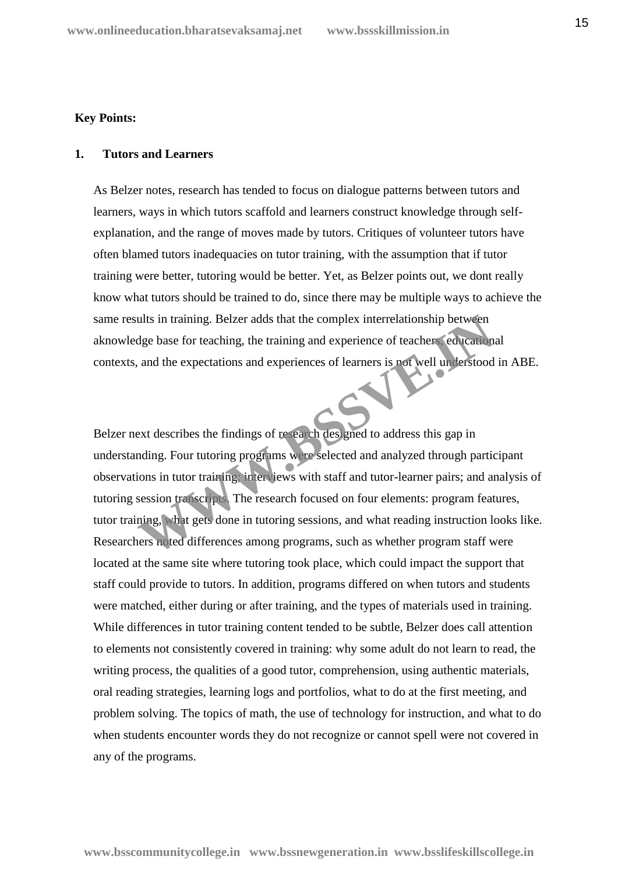### **Key Points:**

### **1. Tutors and Learners**

As Belzer notes, research has tended to focus on dialogue patterns between tutors and learners, ways in which tutors scaffold and learners construct knowledge through self explanation, and the range of moves made by tutors. Critiques of volunteer tutors have often blamed tutors inadequacies on tutor training, with the assumption that if tutor training were better, tutoring would be better. Yet, as Belzer points out, we dont really know what tutors should be trained to do, since there may be multiple ways to achieve the same results in training. Belzer adds that the complex interrelationship between aknowledge base for teaching, the training and experience of teachers, educational contexts, and the expectations and experiences of learners is not well understood in ABE.

Belzer next describes the findings of research designed to address this gap in understanding. Four tutoring programs were selected and analyzed through participant observations in tutor training; interviews with staff and tutor-learner pairs; and analysis of tutoring session transcripts. The research focused on four elements: program features, tutor training, what gets done in tutoring sessions, and what reading instruction looks like. Researchers noted differences among programs, such as whether program staff were located at the same site where tutoring took place, which could impact the support that staff could provide to tutors. In addition, programs differed on when tutors and students were matched, either during or after training, and the types of materials used in training. While differences in tutor training content tended to be subtle, Belzer does call attention to elements not consistently covered in training: why some adult do not learn to read, the writing process, the qualities of a good tutor, comprehension, using authentic materials, oral reading strategies, learning logs and portfolios, what to do at the first meeting, and problem solving. The topics of math, the use of technology for instruction, and what to do when students encounter words they do not recognize or cannot spell were not covered in any of the programs. The units in training. Belzer adds that the complex interrelationship between<br>the base for teaching, the training and experience of teachers education<br>and the expectations and experiences of learners is not well understood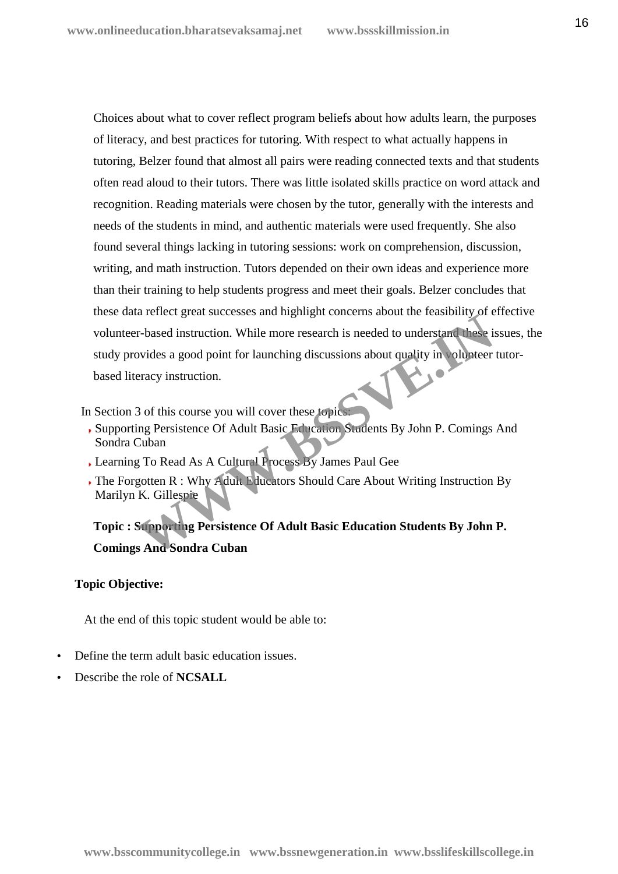Choices about what to cover reflect program beliefs about how adults learn, the purposes of literacy, and best practices for tutoring. With respect to what actually happens in tutoring, Belzer found that almost all pairs were reading connected texts and that students often read aloud to their tutors. There was little isolated skills practice on word attack and recognition. Reading materials were chosen by the tutor, generally with the interests and needs of the students in mind, and authentic materials were used frequently. She also found several things lacking in tutoring sessions: work on comprehension, discussion, writing, and math instruction. Tutors depended on their own ideas and experience more than their training to help students progress and meet their goals. Belzer concludes that these data reflect great successes and highlight concerns about the feasibility of effective volunteer-based instruction. While more research is needed to understand these issues, the study provides a good point for launching discussions about quality in volunteer tutor based literacy instruction. The Technology of the Technology of the Technology of the Technology of the Technology of this course a good point for launching discussions about quality in obligated prices is pointed as a good point for launching discus

In Section 3 of this course you will cover these topics:

- Supporting Persistence Of Adult Basic Education Students By John P. Comings And Sondra Cuban
- Learning To Read As A Cultural Process By James Paul Gee
- The Forgotten R : Why Adult Educators Should Care About Writing Instruction By Marilyn K. Gillespie

**Topic : Supporting Persistence Of Adult Basic Education Students By John P. Comings And Sondra Cuban**

# **Topic Objective:**

At the end of this topic student would be able to:

- Define the term adult basic education issues.
- Describe the role of **NCSALL**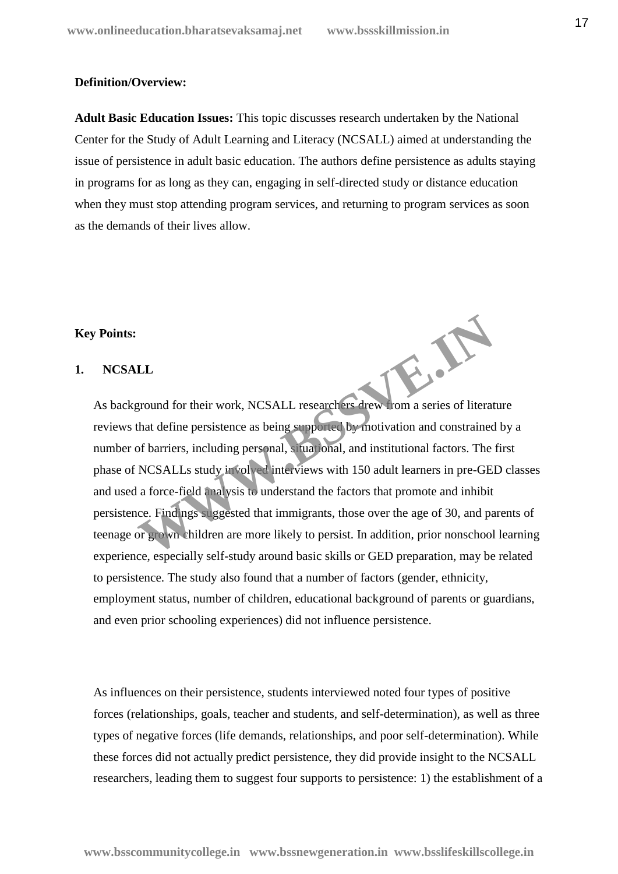### **Definition/Overview:**

**Adult Basic Education Issues:** This topic discusses research undertaken by the National Center for the Study of Adult Learning and Literacy (NCSALL) aimed at understanding the issue of persistence in adult basic education. The authors define persistence as adults staying in programs for as long as they can, engaging in self-directed study or distance education when they must stop attending program services, and returning to program services as soon as the demands of their lives allow.

## **Key Points:**

# **1. NCSALL**

As background for their work, NCSALL researchers drew from a series of literature reviews that define persistence as being supported by motivation and constrained by a number of barriers, including personal, situational, and institutional factors. The first phase of NCSALLs study involved interviews with 150 adult learners in pre-GED classes and used a force-field analysis to understand the factors that promote and inhibit persistence. Findings suggested that immigrants, those over the age of 30, and parents of teenage or grown children are more likely to persist. In addition, prior nonschool learning experience, especially self-study around basic skills or GED preparation, may be related to persistence. The study also found that a number of factors (gender, ethnicity, employment status, number of children, educational background of parents or guardians, and even prior schooling experiences) did not influence persistence. WWW.BSSVE.IN

As influences on their persistence, students interviewed noted four types of positive forces (relationships, goals, teacher and students, and self-determination), as well as three types of negative forces (life demands, relationships, and poor self-determination). While these forces did not actually predict persistence, they did provide insight to the NCSALL researchers, leading them to suggest four supports to persistence: 1) the establishment of a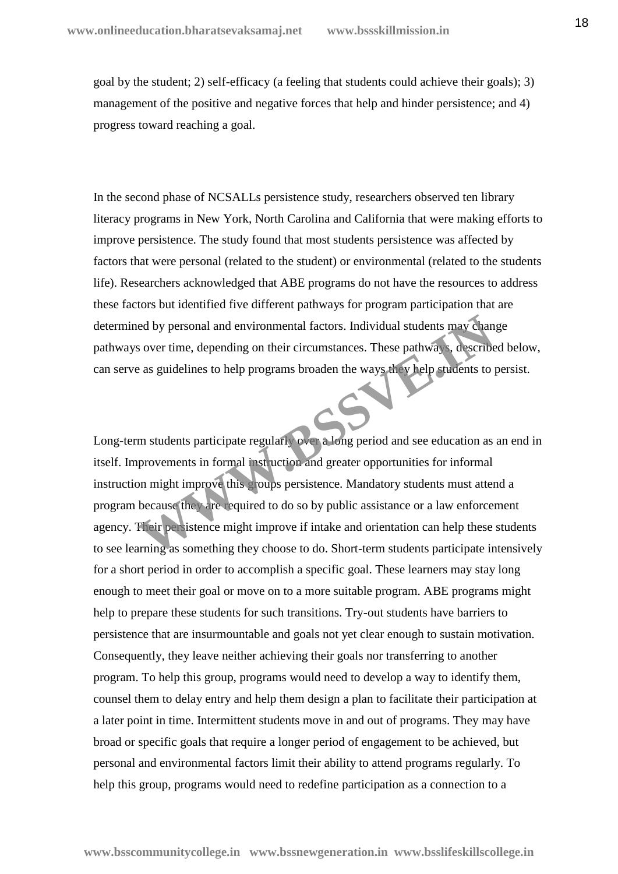goal by the student; 2) self-efficacy (a feeling that students could achieve their goals); 3) management of the positive and negative forces that help and hinder persistence; and 4) progress toward reaching a goal.

In the second phase of NCSALLs persistence study, researchers observed ten library literacy programs in New York, North Carolina and California that were making efforts to improve persistence. The study found that most students persistence was affected by factors that were personal (related to the student) or environmental (related to the students life). Researchers acknowledged that ABE programs do not have the resources to address these factors but identified five different pathways for program participation that are determined by personal and environmental factors. Individual students may change pathways over time, depending on their circumstances. These pathways, described below, can serve as guidelines to help programs broaden the ways they help students to persist.

Long-term students participate regularly over a long period and see education as an end in itself. Improvements in formal instruction and greater opportunities for informal instruction might improve this groups persistence. Mandatory students must attend a program because they are required to do so by public assistance or a law enforcement agency. Their persistence might improve if intake and orientation can help these students to see learning as something they choose to do. Short-term students participate intensively for a short period in order to accomplish a specific goal. These learners may stay long enough to meet their goal or move on to a more suitable program. ABE programs might help to prepare these students for such transitions. Try-out students have barriers to persistence that are insurmountable and goals not yet clear enough to sustain motivation. Consequently, they leave neither achieving their goals nor transferring to another program. To help this group, programs would need to develop a way to identify them, counsel them to delay entry and help them design a plan to facilitate their participation at a later point in time. Intermittent students move in and out of programs. They may have broad or specific goals that require a longer period of engagement to be achieved, but personal and environmental factors limit their ability to attend programs regularly. To help this group, programs would need to redefine participation as a connection to a From their personal and environmental factors. Individual students may chan a over time, depending on their circumstances. These pathways, describe a sa guidelines to help programs broaden the ways the vhelp students to pr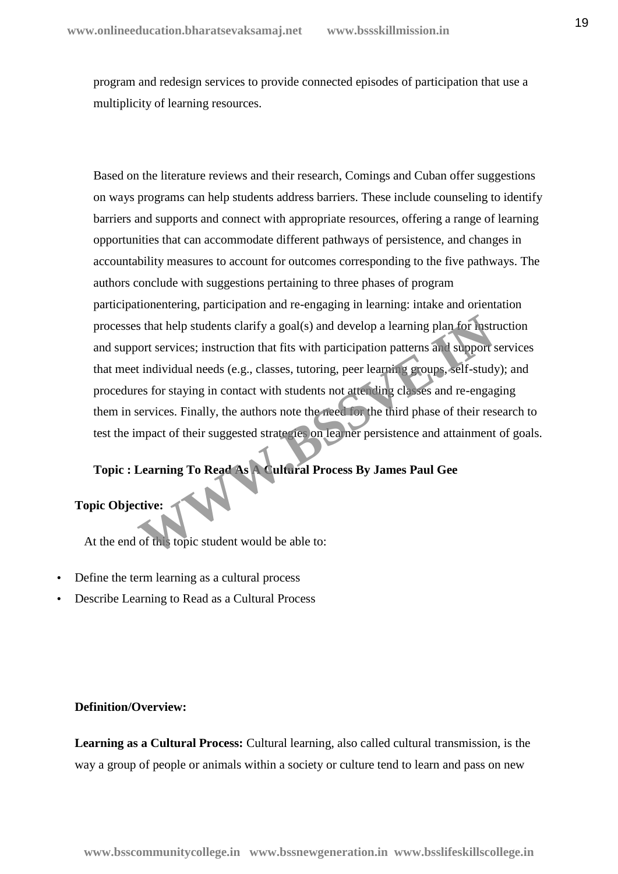program and redesign services to provide connected episodes of participation that use a multiplicity of learning resources.

Based on the literature reviews and their research, Comings and Cuban offer suggestions on ways programs can help students address barriers. These include counseling to identify barriers and supports and connect with appropriate resources, offering a range of learning opportunities that can accommodate different pathways of persistence, and changes in accountability measures to account for outcomes corresponding to the five pathways. The authors conclude with suggestions pertaining to three phases of program participationentering, participation and re-engaging in learning: intake and orientation processes that help students clarify a goal(s) and develop a learning plan for instruction and support services; instruction that fits with participation patterns and support services that meet individual needs (e.g., classes, tutoring, peer learning groups, self-study); and procedures for staying in contact with students not attending classes and re-engaging them in services. Finally, the authors note the need for the third phase of their research to test the impact of their suggested strategies on learner persistence and attainment of goals. S that help students clarify a goal(s) and develop a learning plan for nast<br>coort services; instruction that fits with participation patterns and support<br>t individual needs (e.g., classes, tutoring, peer learning revoups,

# **Topic : Learning To Read As A Cultural Process By James Paul Gee**

# **Topic Objective:**

At the end of this topic student would be able to:

- Define the term learning as a cultural process
- Describe Learning to Read as a Cultural Process

# **Definition/Overview:**

**Learning as a Cultural Process:** Cultural learning, also called cultural transmission, is the way a group of people or animals within a society or culture tend to learn and pass on new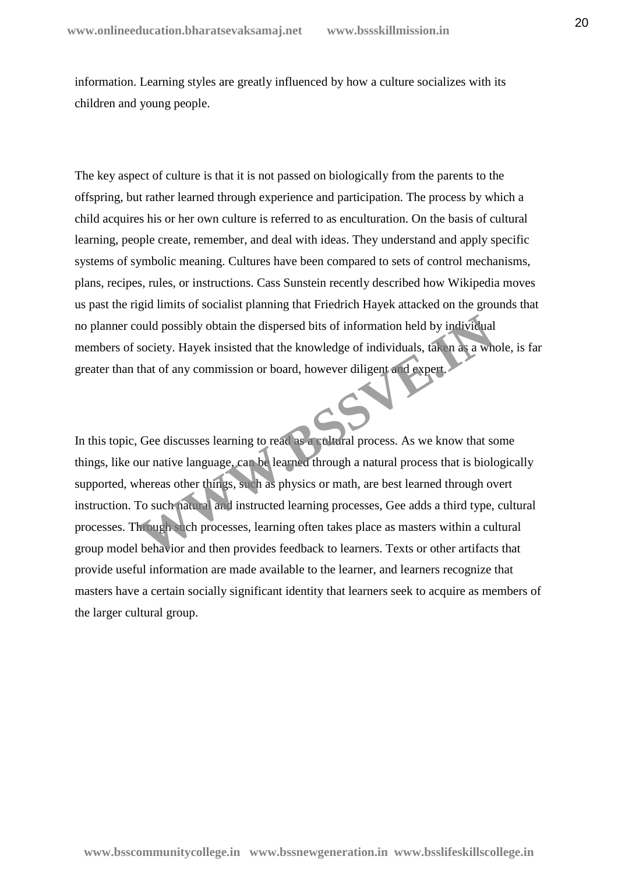information. Learning styles are greatly influenced by how a culture socializes with its children and young people.

The key aspect of culture is that it is not passed on biologically from the parents to the offspring, but rather learned through experience and participation. The process by which a child acquires his or her own culture is referred to as enculturation. On the basis of cultural learning, people create, remember, and deal with ideas. They understand and apply specific systems of symbolic meaning. Cultures have been compared to sets of control mechanisms, plans, recipes, rules, or instructions. Cass Sunstein recently described how Wikipedia moves us past the rigid limits of socialist planning that Friedrich Hayek attacked on the grounds that no planner could possibly obtain the dispersed bits of information held by individual members of society. Hayek insisted that the knowledge of individuals, taken as a whole, is far greater than that of any commission or board, however diligent and expert.

In this topic, Gee discusses learning to read as a cultural process. As we know that some things, like our native language, can be learned through a natural process that is biologically supported, whereas other things, such as physics or math, are best learned through overt instruction. To such natural and instructed learning processes, Gee adds a third type, cultural processes. Through such processes, learning often takes place as masters within a cultural group model behavior and then provides feedback to learners. Texts or other artifacts that provide useful information are made available to the learner, and learners recognize that masters have a certain socially significant identity that learners seek to acquire as members of the larger cultural group. ould possibly obtain the dispersed bits of information held by individual<br>society. Hayek insisted that the knowledge of individuals, taken as a wh<br>that of any commission or board, however diligent and Axpert.<br>that of any c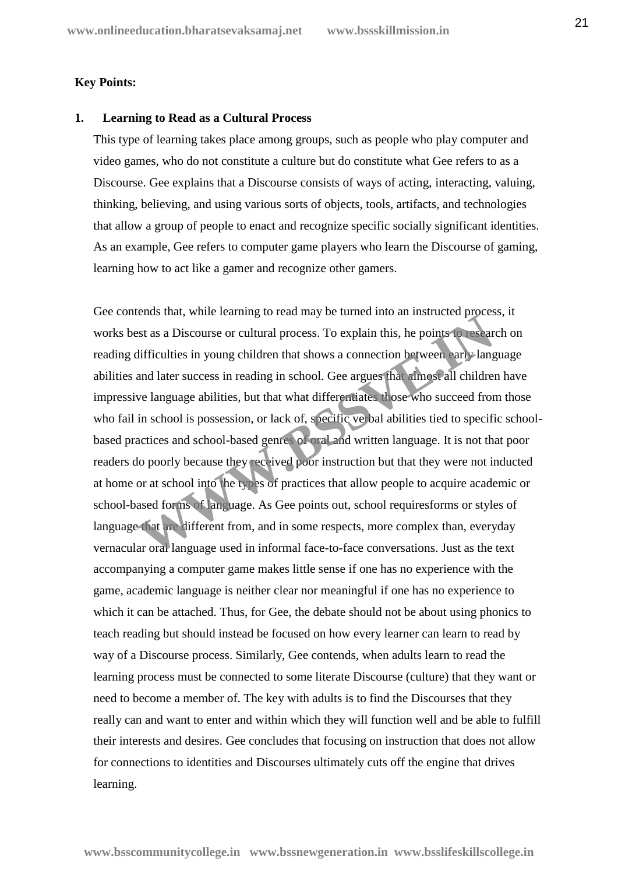### **Key Points:**

### **1. Learning to Read as a Cultural Process**

This type of learning takes place among groups, such as people who play computer and video games, who do not constitute a culture but do constitute what Gee refers to as a Discourse. Gee explains that a Discourse consists of ways of acting, interacting, valuing, thinking, believing, and using various sorts of objects, tools, artifacts, and technologies that allow a group of people to enact and recognize specific socially significant identities. As an example, Gee refers to computer game players who learn the Discourse of gaming, learning how to act like a gamer and recognize other gamers.

Gee contends that, while learning to read may be turned into an instructed process, it works best as a Discourse or cultural process. To explain this, he points to research on reading difficulties in young children that shows a connection between early language abilities and later success in reading in school. Gee argues that almost all children have impressive language abilities, but that what differentiates those who succeed from those who fail in school is possession, or lack of, specific verbal abilities tied to specific schoolbased practices and school-based genres of oral and written language. It is not that poor readers do poorly because they received poor instruction but that they were not inducted at home or at school into the types of practices that allow people to acquire academic or school-based forms of language. As Gee points out, school requiresforms or styles of language that are different from, and in some respects, more complex than, everyday vernacular oral language used in informal face-to-face conversations. Just as the text accompanying a computer game makes little sense if one has no experience with the game, academic language is neither clear nor meaningful if one has no experience to which it can be attached. Thus, for Gee, the debate should not be about using phonics to teach reading but should instead be focused on how every learner can learn to read by way of a Discourse process. Similarly, Gee contends, when adults learn to read the learning process must be connected to some literate Discourse (culture) that they want or need to become a member of. The key with adults is to find the Discourses that they really can and want to enter and within which they will function well and be able to fulfill their interests and desires. Gee concludes that focusing on instruction that does not allow for connections to identities and Discourses ultimately cuts off the engine that drives learning. Example 18 and, while realiting to read imay be tained into an instancted polices<br>St as a Discourse or cultural process. To explain this, he points to resear<br>difficulties in young children that shows a connection between e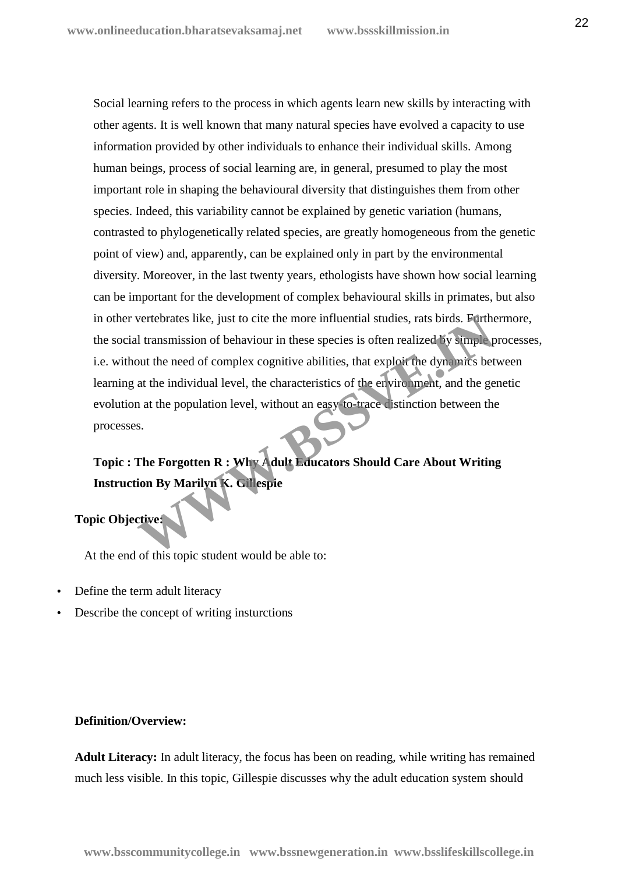Social learning refers to the process in which agents learn new skills by interacting with other agents. It is well known that many natural species have evolved a capacity to use information provided by other individuals to enhance their individual skills. Among human beings, process of social learning are, in general, presumed to play the most important role in shaping the behavioural diversity that distinguishes them from other species. Indeed, this variability cannot be explained by genetic variation (humans, contrasted to phylogenetically related species, are greatly homogeneous from the genetic point of view) and, apparently, can be explained only in part by the environmental diversity. Moreover, in the last twenty years, ethologists have shown how social learning can be important for the development of complex behavioural skills in primates, but also in other vertebrates like, just to cite the more influential studies, rats birds. Furthermore, the social transmission of behaviour in these species is often realized by simple processes, i.e. without the need of complex cognitive abilities, that exploit the dynamics between learning at the individual level, the characteristics of the environment, and the genetic evolution at the population level, without an easy-to-trace distinction between the processes. wertebrates like, just to cite the more influential studies, rats birds. Furthel<br>
Il transmission of behaviour in these species is often realized by simple p<br>
out the need of complex cognitive abilities, that exploit the d

# **Topic : The Forgotten R : Why Adult Educators Should Care About Writing Instruction By Marilyn K. Gillespie**

# **Topic Objective:**

At the end of this topic student would be able to:

- Define the term adult literacy
- Describe the concept of writing insturctions

# **Definition/Overview:**

**Adult Literacy:** In adult literacy, the focus has been on reading, while writing has remained much less visible. In this topic, Gillespie discusses why the adult education system should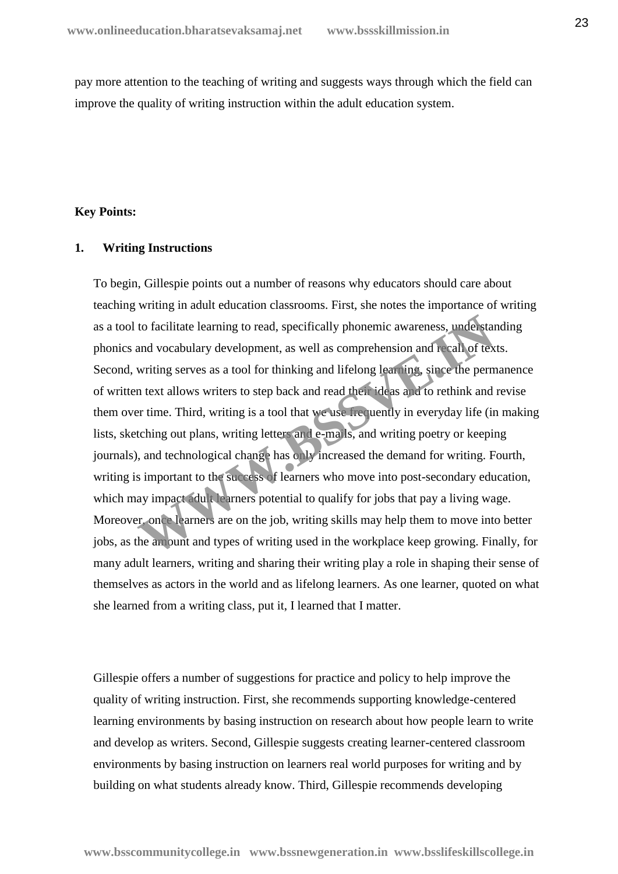pay more attention to the teaching of writing and suggests ways through which the field can improve the quality of writing instruction within the adult education system.

# **Key Points:**

### **1. Writing Instructions**

To begin, Gillespie points out a number of reasons why educators should care about teaching writing in adult education classrooms. First, she notes the importance of writing as a tool to facilitate learning to read, specifically phonemic awareness, understanding phonics and vocabulary development, as well as comprehension and recall of texts. Second, writing serves as a tool for thinking and lifelong learning, since the permanence of written text allows writers to step back and read their ideas and to rethink and revise them over time. Third, writing is a tool that we use frequently in everyday life (in making lists, sketching out plans, writing letters and e-mails, and writing poetry or keeping journals), and technological change has only increased the demand for writing. Fourth, writing is important to the success of learners who move into post-secondary education, which may impact adult learners potential to qualify for jobs that pay a living wage. Moreover, once learners are on the job, writing skills may help them to move into better jobs, as the amount and types of writing used in the workplace keep growing. Finally, for many adult learners, writing and sharing their writing play a role in shaping their sense of themselves as actors in the world and as lifelong learners. As one learner, quoted on what she learned from a writing class, put it, I learned that I matter. to facilitate learning to read, specifically phonemic awareness, understand<br>and vocabulary development, as well as comprehension and recall of tex<br>writing serves as a tool for thinking and lifelong lear in y, since the per

Gillespie offers a number of suggestions for practice and policy to help improve the quality of writing instruction. First, she recommends supporting knowledge-centered learning environments by basing instruction on research about how people learn to write and develop as writers. Second, Gillespie suggests creating learner-centered classroom environments by basing instruction on learners real world purposes for writing and by building on what students already know. Third, Gillespie recommends developing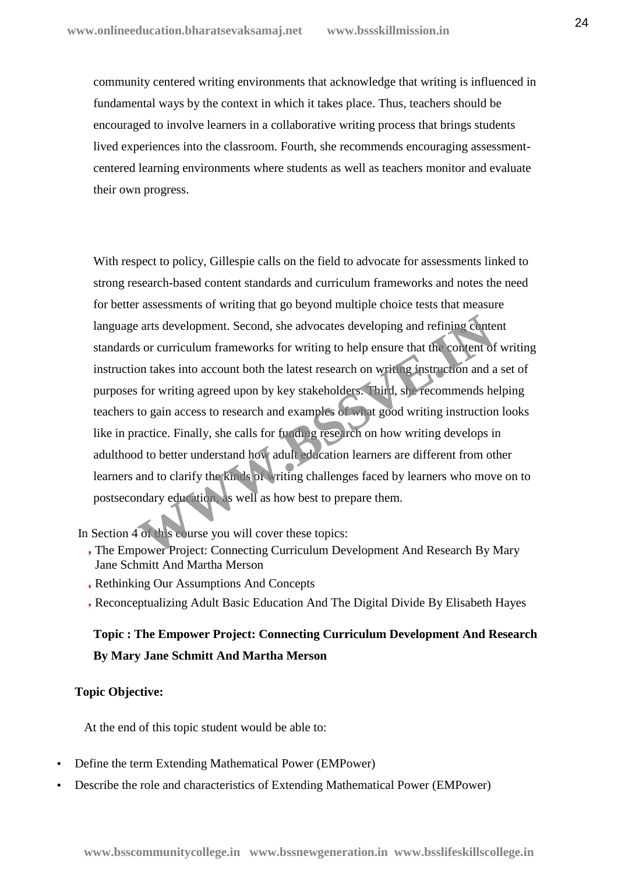community centered writing environments that acknowledge that writing is influenced in fundamental ways by the context in which it takes place. Thus, teachers should be encouraged to involve learners in a collaborative writing process that brings students lived experiences into the classroom. Fourth, she recommends encouraging assessment centered learning environments where students as well as teachers monitor and evaluate their own progress.

With respect to policy, Gillespie calls on the field to advocate for assessments linked to strong research-based content standards and curriculum frameworks and notes the need for better assessments of writing that go beyond multiple choice tests that measure language arts development. Second, she advocates developing and refining content standards or curriculum frameworks for writing to help ensure that the content of writing instruction takes into account both the latest research on writing instruction and a set of purposes for writing agreed upon by key stakeholders. Third, she recommends helping teachers to gain access to research and examples of what good writing instruction looks like in practice. Finally, she calls for funding research on how writing develops in adulthood to better understand how adult education learners are different from other learners and to clarify the kinds of writing challenges faced by learners who move on to postsecondary education, as well as how best to prepare them. extra development. Second, she advocates developing and refining contest or our curriculum frameworks for writing to help ensure that the content of on takes into account both the latest research on writing instruction and

In Section 4 of this course you will cover these topics:

- The Empower Project: Connecting Curriculum Development And Research By Mary Jane Schmitt And Martha Merson
- Rethinking Our Assumptions And Concepts
- Reconceptualizing Adult Basic Education And The Digital Divide By Elisabeth Hayes

# **Topic : The Empower Project: Connecting Curriculum Development And Research By Mary Jane Schmitt And Martha Merson**

## **Topic Objective:**

At the end of this topic student would be able to:

- Define the term Extending Mathematical Power (EMPower)
- Describe the role and characteristics of Extending Mathematical Power (EMPower)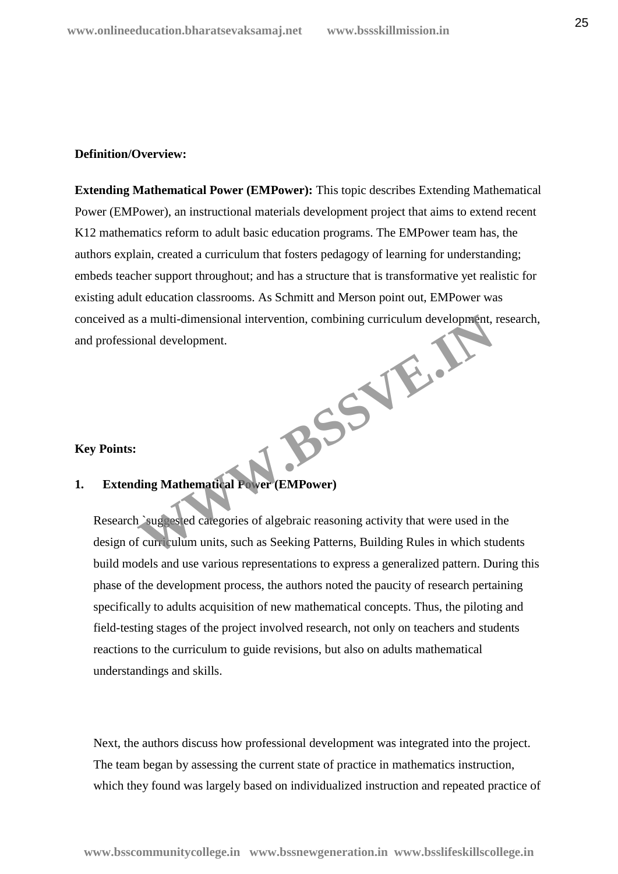### **Definition/Overview:**

**Extending Mathematical Power (EMPower):** This topic describes Extending Mathematical Power (EMPower), an instructional materials development project that aims to extend recent K12 mathematics reform to adult basic education programs. The EMPower team has, the authors explain, created a curriculum that fosters pedagogy of learning for understanding; embeds teacher support throughout; and has a structure that is transformative yet realistic for existing adult education classrooms. As Schmitt and Merson point out, EMPower was conceived as a multi-dimensional intervention, combining curriculum development, research, and professional development. BSSVE.J

#### **Key Points:**

# **1. Extending Mathematical Power (EMPower)**

Research `suggested categories of algebraic reasoning activity that were used in the design of curriculum units, such as Seeking Patterns, Building Rules in which students build models and use various representations to express a generalized pattern. During this phase of the development process, the authors noted the paucity of research pertaining specifically to adults acquisition of new mathematical concepts. Thus, the piloting and field-testing stages of the project involved research, not only on teachers and students reactions to the curriculum to guide revisions, but also on adults mathematical understandings and skills.

Next, the authors discuss how professional development was integrated into the project. The team began by assessing the current state of practice in mathematics instruction, which they found was largely based on individualized instruction and repeated practice of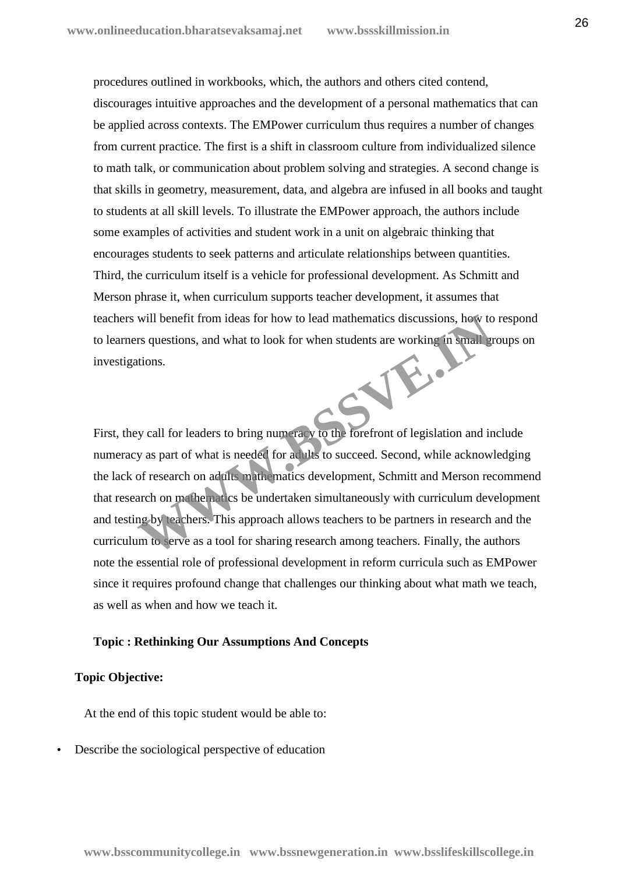procedures outlined in workbooks, which, the authors and others cited contend, discourages intuitive approaches and the development of a personal mathematics that can be applied across contexts. The EMPower curriculum thus requires a number of changes from current practice. The first is a shift in classroom culture from individualized silence to math talk, or communication about problem solving and strategies. A second change is that skills in geometry, measurement, data, and algebra are infused in all books and taught to students at all skill levels. To illustrate the EMPower approach, the authors include some examples of activities and student work in a unit on algebraic thinking that encourages students to seek patterns and articulate relationships between quantities. Third, the curriculum itself is a vehicle for professional development. As Schmitt and Merson phrase it, when curriculum supports teacher development, it assumes that teachers will benefit from ideas for how to lead mathematics discussions, how to respond to learners questions, and what to look for when students are working in small groups on investigations. Report of the street

First, they call for leaders to bring numeracy to the forefront of legislation and include numeracy as part of what is needed for adults to succeed. Second, while acknowledging the lack of research on adults mathematics development, Schmitt and Merson recommend that research on mathematics be undertaken simultaneously with curriculum development and testing by teachers. This approach allows teachers to be partners in research and the curriculum to serve as a tool for sharing research among teachers. Finally, the authors note the essential role of professional development in reform curricula such as EMPower since it requires profound change that challenges our thinking about what math we teach, as well as when and how we teach it.

# **Topic : Rethinking Our Assumptions And Concepts**

### **Topic Objective:**

At the end of this topic student would be able to:

Describe the sociological perspective of education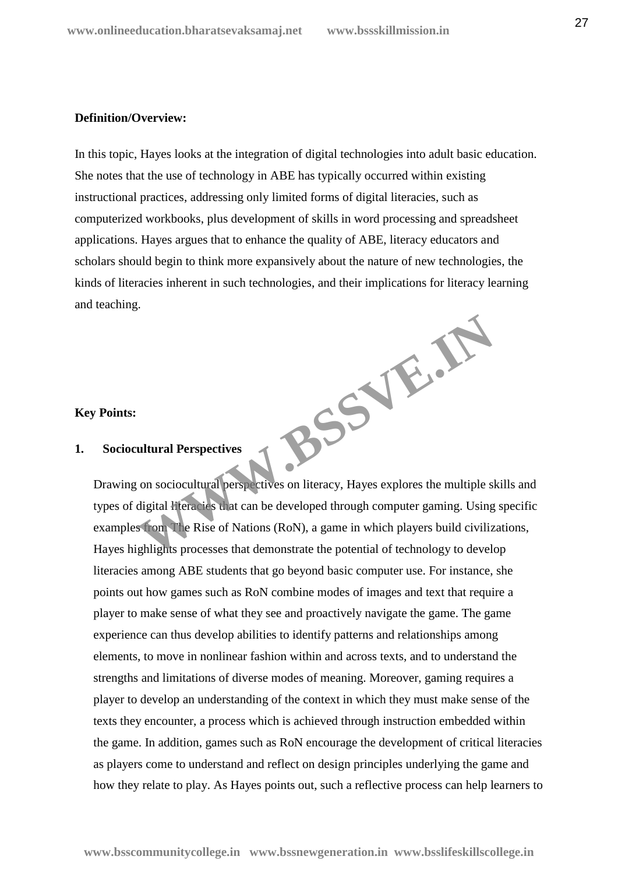#### **Definition/Overview:**

In this topic, Hayes looks at the integration of digital technologies into adult basic education. She notes that the use of technology in ABE has typically occurred within existing instructional practices, addressing only limited forms of digital literacies, such as computerized workbooks, plus development of skills in word processing and spreadsheet applications. Hayes argues that to enhance the quality of ABE, literacy educators and scholars should begin to think more expansively about the nature of new technologies, the kinds of literacies inherent in such technologies, and their implications for literacy learning and teaching. **WWW.BSSVE.IN**

#### **Key Points:**

### **1. Sociocultural Perspectives**

Drawing on sociocultural perspectives on literacy, Hayes explores the multiple skills and types of digital literacies that can be developed through computer gaming. Using specific examples from The Rise of Nations (RoN), a game in which players build civilizations, Hayes highlights processes that demonstrate the potential of technology to develop literacies among ABE students that go beyond basic computer use. For instance, she points out how games such as RoN combine modes of images and text that require a player to make sense of what they see and proactively navigate the game. The game experience can thus develop abilities to identify patterns and relationships among elements, to move in nonlinear fashion within and across texts, and to understand the strengths and limitations of diverse modes of meaning. Moreover, gaming requires a player to develop an understanding of the context in which they must make sense of the texts they encounter, a process which is achieved through instruction embedded within the game. In addition, games such as RoN encourage the development of critical literacies as players come to understand and reflect on design principles underlying the game and how they relate to play. As Hayes points out, such a reflective process can help learners to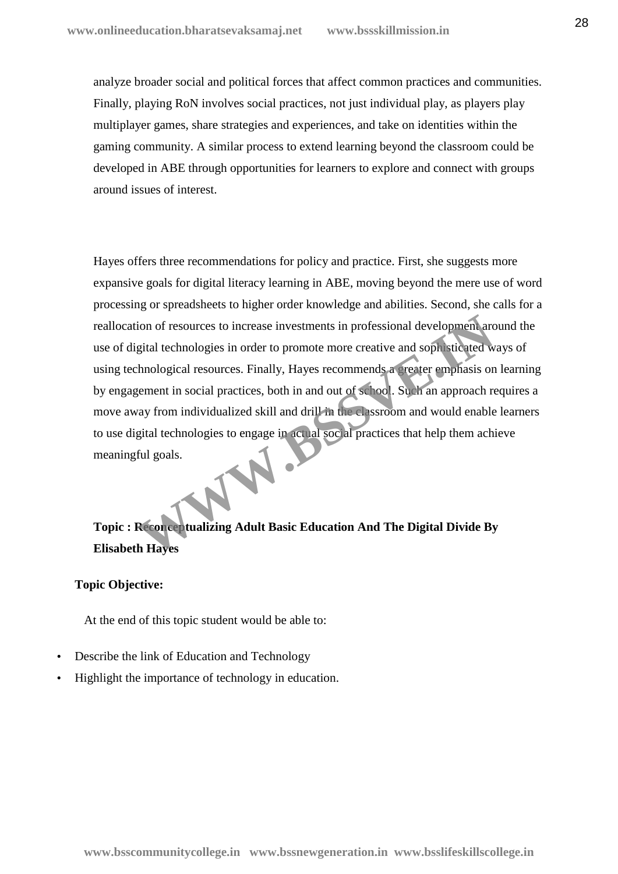analyze broader social and political forces that affect common practices and communities. Finally, playing RoN involves social practices, not just individual play, as players play multiplayer games, share strategies and experiences, and take on identities within the gaming community. A similar process to extend learning beyond the classroom could be developed in ABE through opportunities for learners to explore and connect with groups around issues of interest.

Hayes offers three recommendations for policy and practice. First, she suggests more expansive goals for digital literacy learning in ABE, moving beyond the mere use of word processing or spreadsheets to higher order knowledge and abilities. Second, she calls for a reallocation of resources to increase investments in professional development around the use of digital technologies in order to promote more creative and sophisticated ways of using technological resources. Finally, Hayes recommends a greater emphasis on learning by engagement in social practices, both in and out of school. Such an approach requires a move away from individualized skill and drill in the classroom and would enable learners to use digital technologies to engage in actual social practices that help them achieve meaningful goals. ion of resources to increase investments in professional development architectical technologies in order to promote more creative and soph sticated where the photographs is one series. Finally, Hayes recommends a creater e

**Topic : Reconceptualizing Adult Basic Education And The Digital Divide By Elisabeth Hayes**

# **Topic Objective:**

At the end of this topic student would be able to:

- Describe the link of Education and Technology
- Highlight the importance of technology in education.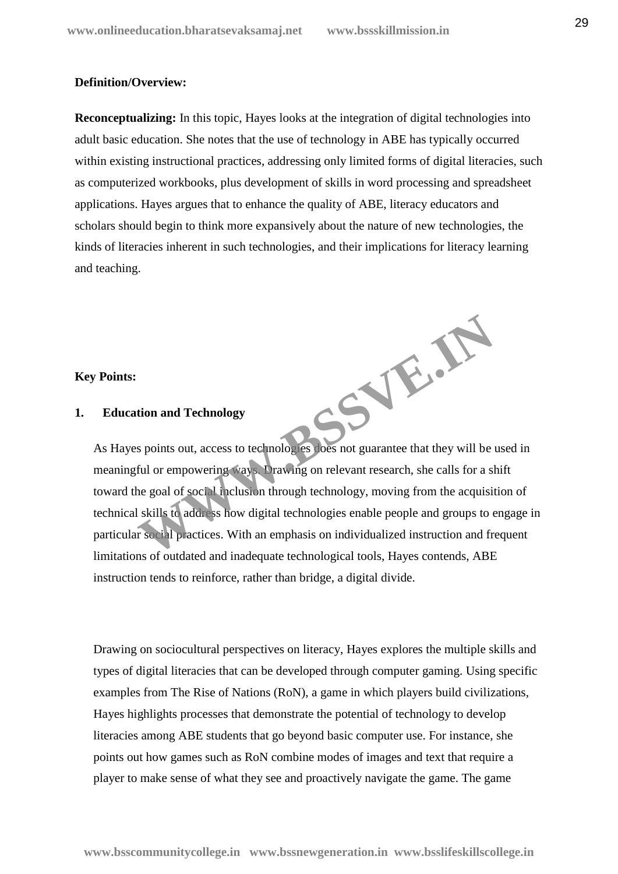**WWW.BSSVE.IN**

### **Definition/Overview:**

**Reconceptualizing:** In this topic, Hayes looks at the integration of digital technologies into adult basic education. She notes that the use of technology in ABE has typically occurred within existing instructional practices, addressing only limited forms of digital literacies, such as computerized workbooks, plus development of skills in word processing and spreadsheet applications. Hayes argues that to enhance the quality of ABE, literacy educators and scholars should begin to think more expansively about the nature of new technologies, the kinds of literacies inherent in such technologies, and their implications for literacy learning and teaching.

## **Key Points:**

### **1. Education and Technology**

As Hayes points out, access to technologies does not guarantee that they will be used in meaningful or empowering ways. Drawing on relevant research, she calls for a shift toward the goal of social inclusion through technology, moving from the acquisition of technical skills to address how digital technologies enable people and groups to engage in particular social practices. With an emphasis on individualized instruction and frequent limitations of outdated and inadequate technological tools, Hayes contends, ABE instruction tends to reinforce, rather than bridge, a digital divide.

Drawing on sociocultural perspectives on literacy, Hayes explores the multiple skills and types of digital literacies that can be developed through computer gaming. Using specific examples from The Rise of Nations (RoN), a game in which players build civilizations, Hayes highlights processes that demonstrate the potential of technology to develop literacies among ABE students that go beyond basic computer use. For instance, she points out how games such as RoN combine modes of images and text that require a player to make sense of what they see and proactively navigate the game. The game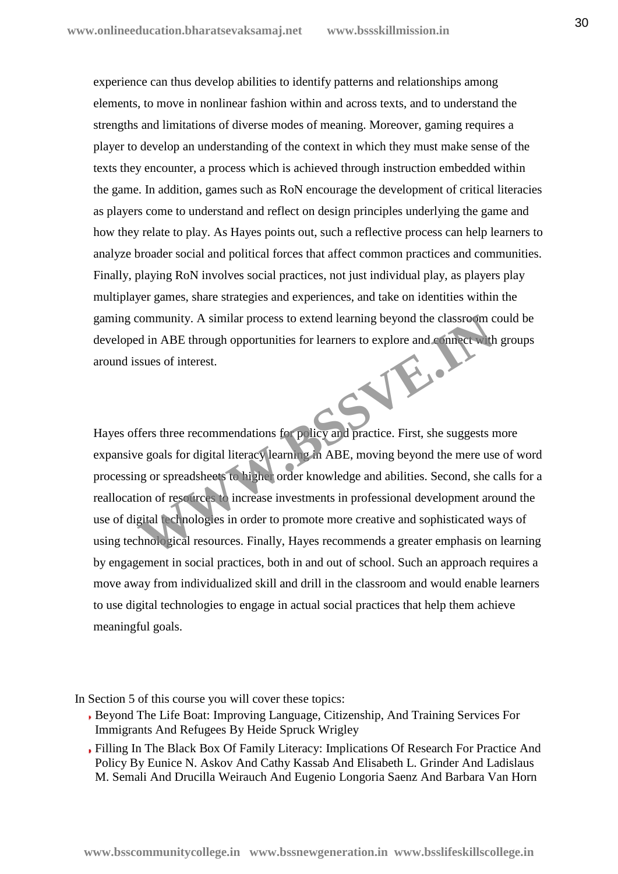experience can thus develop abilities to identify patterns and relationships among elements, to move in nonlinear fashion within and across texts, and to understand the strengths and limitations of diverse modes of meaning. Moreover, gaming requires a player to develop an understanding of the context in which they must make sense of the texts they encounter, a process which is achieved through instruction embedded within the game. In addition, games such as RoN encourage the development of critical literacies as players come to understand and reflect on design principles underlying the game and how they relate to play. As Hayes points out, such a reflective process can help learners to analyze broader social and political forces that affect common practices and communities. Finally, playing RoN involves social practices, not just individual play, as players play multiplayer games, share strategies and experiences, and take on identities within the gaming community. A similar process to extend learning beyond the classroom could be developed in ABE through opportunities for learners to explore and connect with groups around issues of interest. **WWW.BSSVER.IN** 

Hayes offers three recommendations for policy and practice. First, she suggests more expansive goals for digital literacy learning in ABE, moving beyond the mere use of word processing or spreadsheets to higher order knowledge and abilities. Second, she calls for a reallocation of resources to increase investments in professional development around the use of digital technologies in order to promote more creative and sophisticated ways of using technological resources. Finally, Hayes recommends a greater emphasis on learning by engagement in social practices, both in and out of school. Such an approach requires a move away from individualized skill and drill in the classroom and would enable learners to use digital technologies to engage in actual social practices that help them achieve meaningful goals.

In Section 5 of this course you will cover these topics:

- Beyond The Life Boat: Improving Language, Citizenship, And Training Services For Immigrants And Refugees By Heide Spruck Wrigley
- Filling In The Black Box Of Family Literacy: Implications Of Research For Practice And Policy By Eunice N. Askov And Cathy Kassab And Elisabeth L. Grinder And Ladislaus M. Semali And Drucilla Weirauch And Eugenio Longoria Saenz And Barbara Van Horn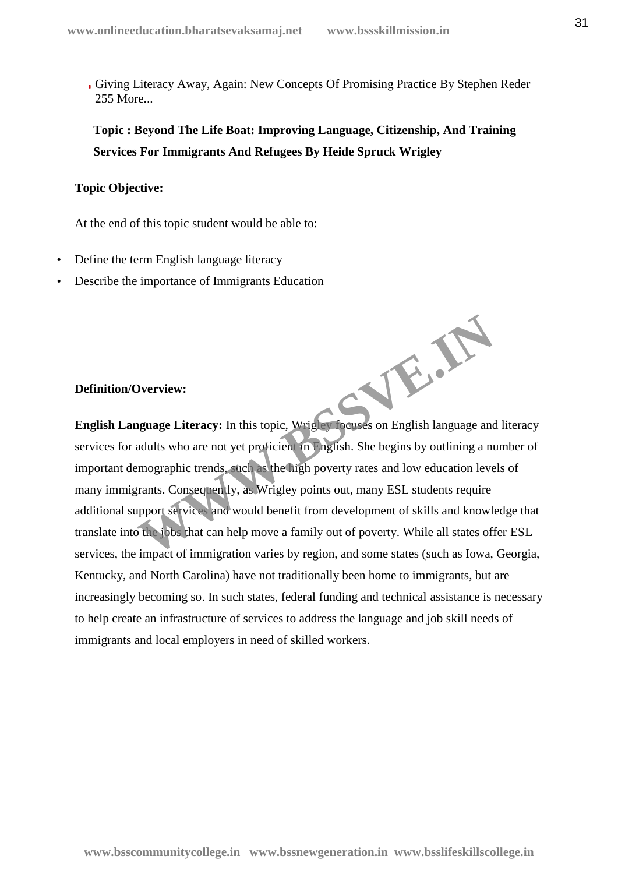Giving Literacy Away, Again: New Concepts Of Promising Practice By Stephen Reder 255 More...

**Topic : Beyond The Life Boat: Improving Language, Citizenship, And Training Services For Immigrants And Refugees By Heide Spruck Wrigley**

# **Topic Objective:**

At the end of this topic student would be able to:

- Define the term English language literacy
- Describe the importance of Immigrants Education

# **Definition/Overview:**

**English Language Literacy:** In this topic, Wrigley focuses on English language and literacy services for adults who are not yet proficient in English. She begins by outlining a number of important demographic trends, such as the high poverty rates and low education levels of many immigrants. Consequently, as Wrigley points out, many ESL students require additional support services and would benefit from development of skills and knowledge that translate into the jobs that can help move a family out of poverty. While all states offer ESL services, the impact of immigration varies by region, and some states (such as Iowa, Georgia, Kentucky, and North Carolina) have not traditionally been home to immigrants, but are increasingly becoming so. In such states, federal funding and technical assistance is necessary to help create an infrastructure of services to address the language and job skill needs of immigrants and local employers in need of skilled workers. W.B.W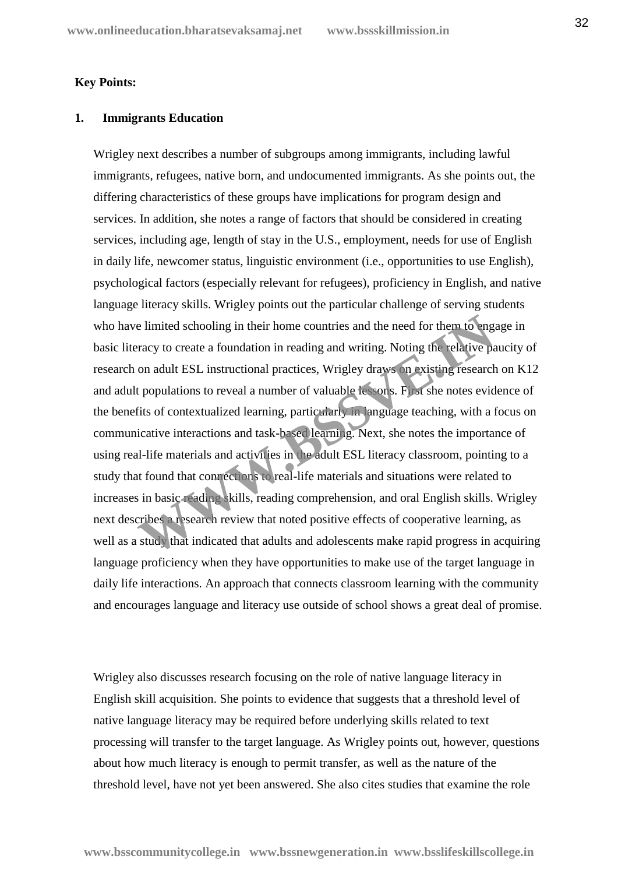### **Key Points:**

### **1. Immigrants Education**

Wrigley next describes a number of subgroups among immigrants, including lawful immigrants, refugees, native born, and undocumented immigrants. As she points out, the differing characteristics of these groups have implications for program design and services. In addition, she notes a range of factors that should be considered in creating services, including age, length of stay in the U.S., employment, needs for use of English in daily life, newcomer status, linguistic environment (i.e., opportunities to use English), psychological factors (especially relevant for refugees), proficiency in English, and native language literacy skills. Wrigley points out the particular challenge of serving students who have limited schooling in their home countries and the need for them to engage in basic literacy to create a foundation in reading and writing. Noting the relative paucity of research on adult ESL instructional practices, Wrigley draws on existing research on K12 and adult populations to reveal a number of valuable lessons. First she notes evidence of the benefits of contextualized learning, particularly in language teaching, with a focus on communicative interactions and task-based learning. Next, she notes the importance of using real-life materials and activities in the adult ESL literacy classroom, pointing to a study that found that compections to real-life materials and situations were related to increases in basic reading skills, reading comprehension, and oral English skills. Wrigley next describes a research review that noted positive effects of cooperative learning, as well as a study that indicated that adults and adolescents make rapid progress in acquiring language proficiency when they have opportunities to make use of the target language in daily life interactions. An approach that connects classroom learning with the community and encourages language and literacy use outside of school shows a great deal of promise. e limited schooling in their home countries and the need for them to ang<br>racy to create a foundation in reading and writing. Noting the relative pa<br>on adult ESL instructional practices, Wrigley draws on existing research<br>t

Wrigley also discusses research focusing on the role of native language literacy in English skill acquisition. She points to evidence that suggests that a threshold level of native language literacy may be required before underlying skills related to text processing will transfer to the target language. As Wrigley points out, however, questions about how much literacy is enough to permit transfer, as well as the nature of the threshold level, have not yet been answered. She also cites studies that examine the role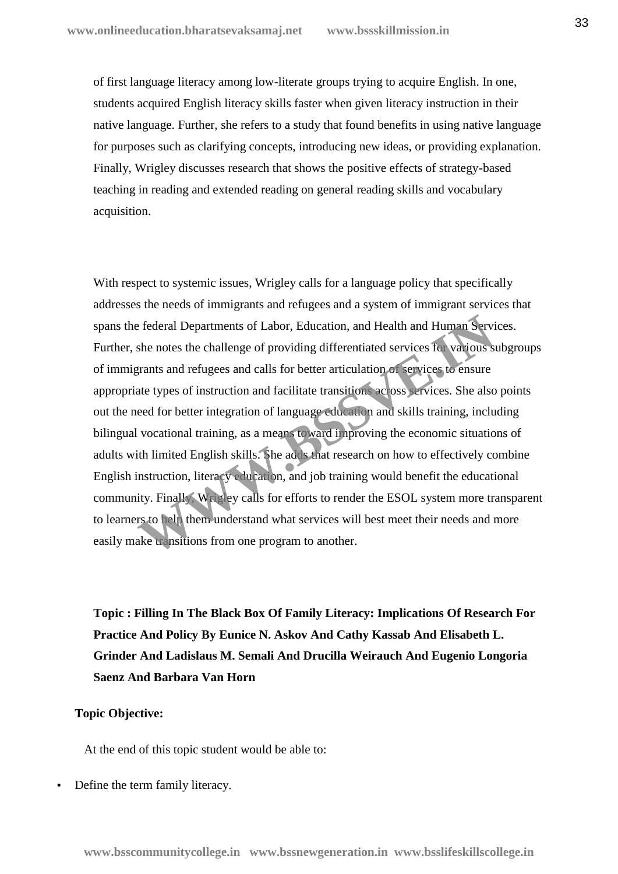of first language literacy among low-literate groups trying to acquire English. In one, students acquired English literacy skills faster when given literacy instruction in their native language. Further, she refers to a study that found benefits in using native language for purposes such as clarifying concepts, introducing new ideas, or providing explanation. Finally, Wrigley discusses research that shows the positive effects of strategy-based teaching in reading and extended reading on general reading skills and vocabulary acquisition.

With respect to systemic issues, Wrigley calls for a language policy that specifically addresses the needs of immigrants and refugees and a system of immigrant services that spans the federal Departments of Labor, Education, and Health and Human Services. Further, she notes the challenge of providing differentiated services for various subgroups of immigrants and refugees and calls for better articulation of services to ensure appropriate types of instruction and facilitate transitions across services. She also points out the need for better integration of language education and skills training, including bilingual vocational training, as a means toward improving the economic situations of adults with limited English skills. She adds that research on how to effectively combine English instruction, literacy education, and job training would benefit the educational community. Finally, Wrigley calls for efforts to render the ESOL system more transparent to learners to help them understand what services will best meet their needs and more easily make transitions from one program to another. Expected Departments of Labor, Education, and Health and Human Services the notes the challenge of providing differentiated services for various syrants and refugees and calls for better articulation of vervices to ensure

**Topic : Filling In The Black Box Of Family Literacy: Implications Of Research For Practice And Policy By Eunice N. Askov And Cathy Kassab And Elisabeth L. Grinder And Ladislaus M. Semali And Drucilla Weirauch And Eugenio Longoria Saenz And Barbara Van Horn**

## **Topic Objective:**

At the end of this topic student would be able to:

Define the term family literacy.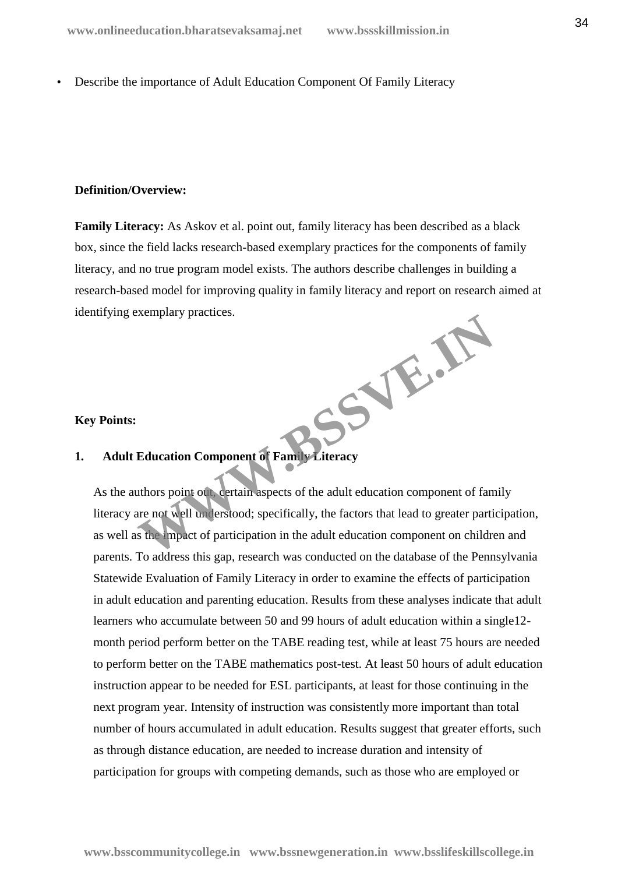Describe the importance of Adult Education Component Of Family Literacy

### **Definition/Overview:**

**Family Literacy:** As Askov et al. point out, family literacy has been described as a black box, since the field lacks research-based exemplary practices for the components of family literacy, and no true program model exists. The authors describe challenges in building a research-based model for improving quality in family literacy and report on research aimed at identifying exemplary practices. **WWW.BSSVE.IN**

# **Key Points:**

# **1. Adult Education Component of Family Literacy**

As the authors point out, certain aspects of the adult education component of family literacy are not well understood; specifically, the factors that lead to greater participation, as well as the impact of participation in the adult education component on children and parents. To address this gap, research was conducted on the database of the Pennsylvania Statewide Evaluation of Family Literacy in order to examine the effects of participation in adult education and parenting education. Results from these analyses indicate that adult learners who accumulate between 50 and 99 hours of adult education within a single12 month period perform better on the TABE reading test, while at least 75 hours are needed to perform better on the TABE mathematics post-test. At least 50 hours of adult education instruction appear to be needed for ESL participants, at least for those continuing in the next program year. Intensity of instruction was consistently more important than total number of hours accumulated in adult education. Results suggest that greater efforts, such as through distance education, are needed to increase duration and intensity of participation for groups with competing demands, such as those who are employed or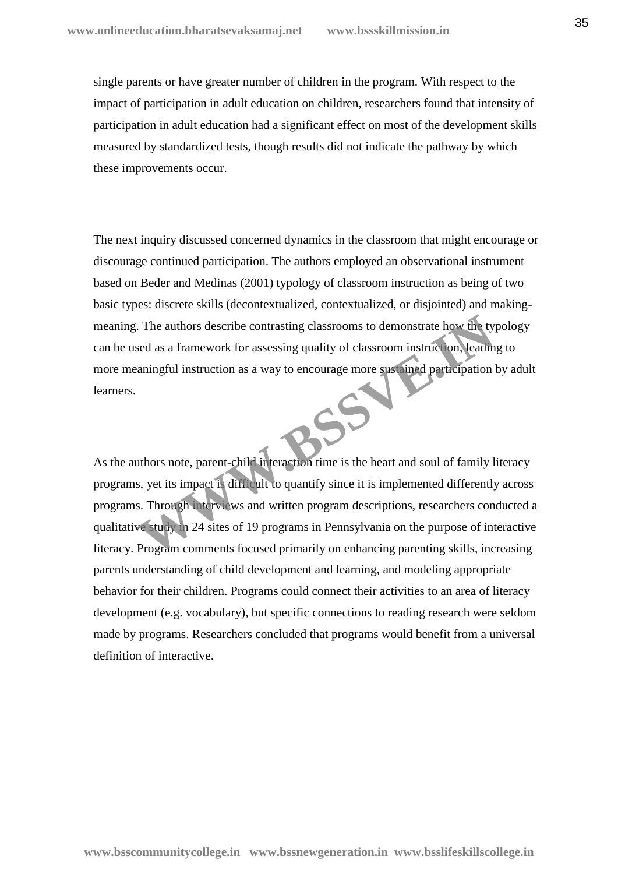single parents or have greater number of children in the program. With respect to the impact of participation in adult education on children, researchers found that intensity of participation in adult education had a significant effect on most of the development skills measured by standardized tests, though results did not indicate the pathway by which these improvements occur.

The next inquiry discussed concerned dynamics in the classroom that might encourage or discourage continued participation. The authors employed an observational instrument based on Beder and Medinas (2001) typology of classroom instruction as being of two basic types: discrete skills (decontextualized, contextualized, or disjointed) and making meaning. The authors describe contrasting classrooms to demonstrate how the typology can be used as a framework for assessing quality of classroom instruction, leading to more meaningful instruction as a way to encourage more sustained participation by adult learners.

As the authors note, parent-child interaction time is the heart and soul of family literacy programs, yet its impact is difficult to quantify since it is implemented differently across programs. Through interviews and written program descriptions, researchers conducted a qualitative study in 24 sites of 19 programs in Pennsylvania on the purpose of interactive literacy. Program comments focused primarily on enhancing parenting skills, increasing parents understanding of child development and learning, and modeling appropriate behavior for their children. Programs could connect their activities to an area of literacy development (e.g. vocabulary), but specific connections to reading research were seldom made by programs. Researchers concluded that programs would benefit from a universal definition of interactive. The authors describe contrasting classrooms to demonstrate how the ty<br>sed as a framework for assessing quality of classroom instruction, leading<br>aningful instruction as a way to encourage more sust in all participation<br>ani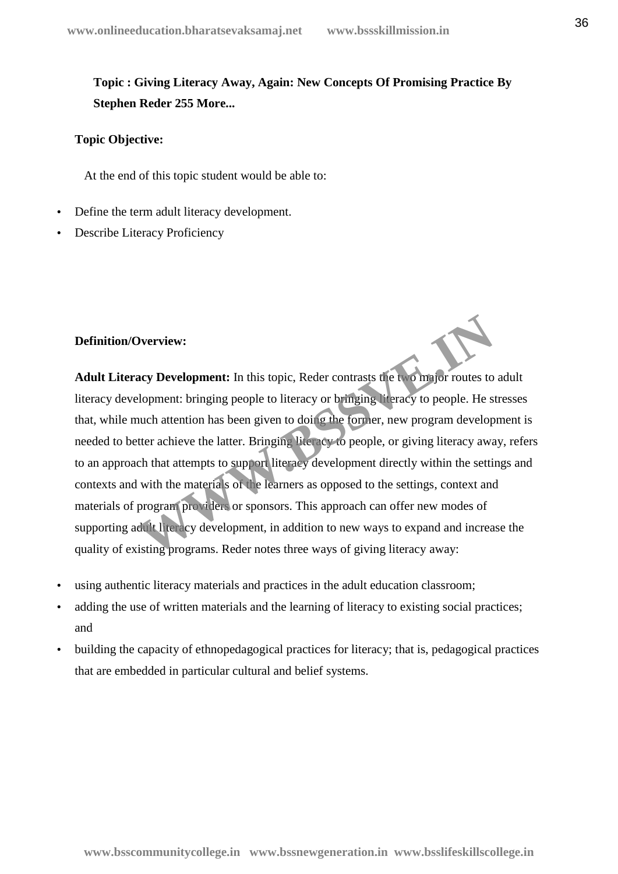# **Topic : Giving Literacy Away, Again: New Concepts Of Promising Practice By Stephen Reder 255 More...**

# **Topic Objective:**

At the end of this topic student would be able to:

- Define the term adult literacy development.
- Describe Literacy Proficiency

### **Definition/Overview:**

**Adult Literacy Development:** In this topic, Reder contrasts the two major routes to adult literacy development: bringing people to literacy or bringing literacy to people. He stresses that, while much attention has been given to doing the former, new program development is needed to better achieve the latter. Bringing literacy to people, or giving literacy away, refers to an approach that attempts to support literacy development directly within the settings and contexts and with the materials of the learners as opposed to the settings, context and materials of program providers or sponsors. This approach can offer new modes of supporting adult literacy development, in addition to new ways to expand and increase the quality of existing programs. Reder notes three ways of giving literacy away: **Number 19 Accord Server Controller Server Server Server Server Server Server Server Server Server Server Server Server Server Server Server Server Server Server Server Server Server Server Server Server Server Server Serv** 

- using authentic literacy materials and practices in the adult education classroom;
- adding the use of written materials and the learning of literacy to existing social practices; and
- building the capacity of ethnopedagogical practices for literacy; that is, pedagogical practices that are embedded in particular cultural and belief systems.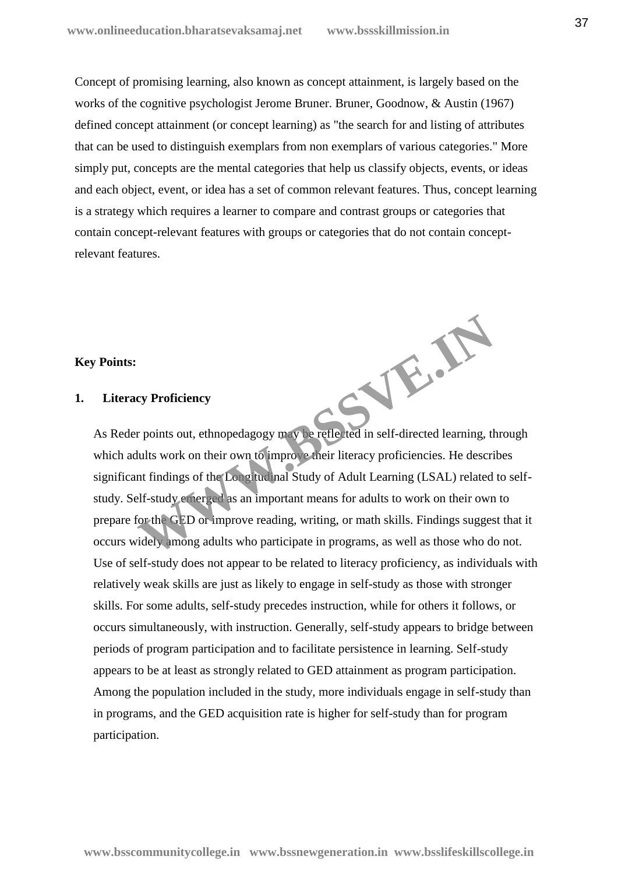Concept of promising learning, also known as concept attainment, is largely based on the works of the cognitive psychologist Jerome Bruner. Bruner, Goodnow, & Austin (1967) defined concept attainment (or concept learning) as "the search for and listing of attributes that can be used to distinguish exemplars from non exemplars of various categories." More simply put, concepts are the mental categories that help us classify objects, events, or ideas and each object, event, or idea has a set of common relevant features. Thus, concept learning is a strategy which requires a learner to compare and contrast groups or categories that contain concept-relevant features with groups or categories that do not contain conceptrelevant features.

# **Key Points:**

# **1. Literacy Proficiency**

As Reder points out, ethnopedagogy may be reflected in self-directed learning, through which adults work on their own to improve their literacy proficiencies. He describes significant findings of the Longitudinal Study of Adult Learning (LSAL) related to self study. Self-study emerged as an important means for adults to work on their own to prepare for the GED or improve reading, writing, or math skills. Findings suggest that it occurs widely among adults who participate in programs, as well as those who do not. Use of self-study does not appear to be related to literacy proficiency, as individuals with relatively weak skills are just as likely to engage in self-study as those with stronger skills. For some adults, self-study precedes instruction, while for others it follows, or occurs simultaneously, with instruction. Generally, self-study appears to bridge between periods of program participation and to facilitate persistence in learning. Self-study appears to be at least as strongly related to GED attainment as program participation. Among the population included in the study, more individuals engage in self-study than in programs, and the GED acquisition rate is higher for self-study than for program participation. **WWW.BSSVE.IN**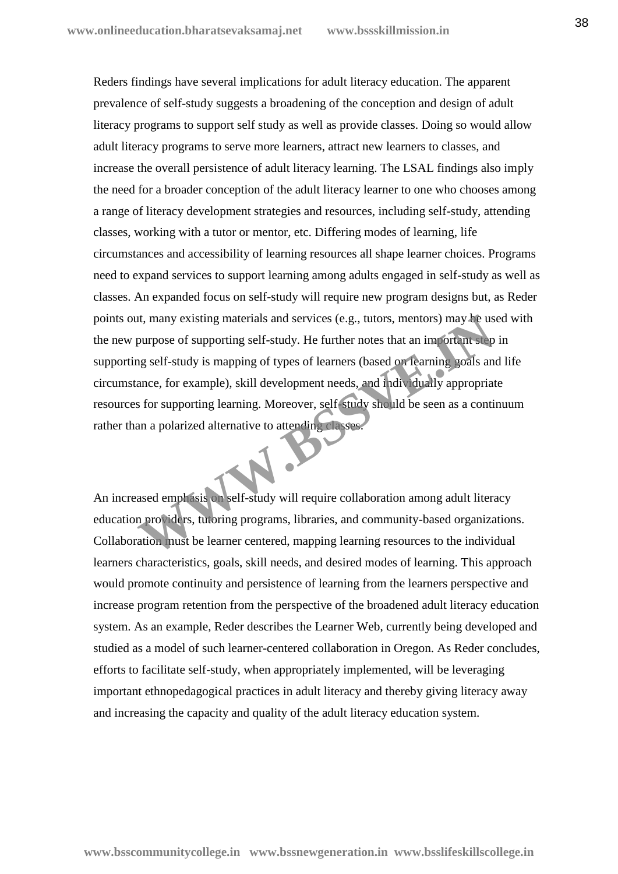Reders findings have several implications for adult literacy education. The apparent prevalence of self-study suggests a broadening of the conception and design of adult literacy programs to support self study as well as provide classes. Doing so would allow adult literacy programs to serve more learners, attract new learners to classes, and increase the overall persistence of adult literacy learning. The LSAL findings also imply the need for a broader conception of the adult literacy learner to one who chooses among a range of literacy development strategies and resources, including self-study, attending classes, working with a tutor or mentor, etc. Differing modes of learning, life circumstances and accessibility of learning resources all shape learner choices. Programs need to expand services to support learning among adults engaged in self-study as well as classes. An expanded focus on self-study will require new program designs but, as Reder points out, many existing materials and services (e.g., tutors, mentors) may be used with the new purpose of supporting self-study. He further notes that an important step in supporting self-study is mapping of types of learners (based on learning goals and life circumstance, for example), skill development needs, and individually appropriate resources for supporting learning. Moreover, self-study should be seen as a continuum rather than a polarized alternative to attending classes. The many existing materials and services (e.g., tutors, mentors) may be us<br>purpose of supporting self-study. He further notes that an important step<br>g self-study is mapping of types of learners (based on learning goals an<br>

An increased emphasis on self-study will require collaboration among adult literacy education providers, tutoring programs, libraries, and community-based organizations. Collaboration must be learner centered, mapping learning resources to the individual learners characteristics, goals, skill needs, and desired modes of learning. This approach would promote continuity and persistence of learning from the learners perspective and increase program retention from the perspective of the broadened adult literacy education system. As an example, Reder describes the Learner Web, currently being developed and studied as a model of such learner-centered collaboration in Oregon. As Reder concludes, efforts to facilitate self-study, when appropriately implemented, will be leveraging important ethnopedagogical practices in adult literacy and thereby giving literacy away and increasing the capacity and quality of the adult literacy education system.